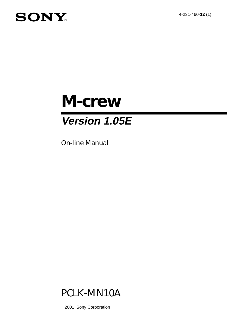4-231-460-**12** (1)

# **SONY**

# *M-crew*

# **Version 1.05E**

On-line Manual



2001 Sony Corporation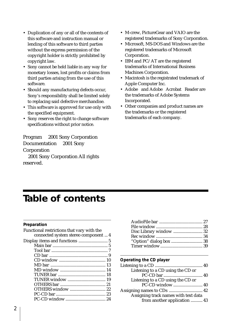- Duplication of any or all of the contents of this software and instruction manual or lending of this software to third parties without the express permission of the copyright holder is strictly prohibited by copyright law.
- Sony cannot be held liable in any way for monetary losses, lost profits or claims from third parties arising from the use of this software.
- Should any manufacturing defects occur, Sony's responsibility shall be limited solely to replacing said defective merchandise.
- This software is approved for use only with the specified equipment.
- Sony reserves the right to change software specifications without prior notice.

Program  $\odot$  2001 Sony Corporation Documentation  $\odot$  2001 Sony Corporation 2001 Sony Corporation All rights reserved.

- M-crew, PictureGear and VAIO are the registered trademarks of Sony Corporation.
- Microsoft, MS-DOS and Windows are the registered trademarks of Microsoft Corporation.
- IBM and PC/AT are the registered trademarks of International Business Machines Corporation.
- Macintosh is the registrated trademark of Apple Computer Inc.
- Adobe® and Adobe® Acrobat® Reader are the trademarks of Adobe Systems Incorporated.
- Other companies and product names are the trademarks or the registered trademarks of each company.

# **Table of contents**

#### **Preparation**

| Functional restrictions that vary with the |  |
|--------------------------------------------|--|
| connected system stereo component  4       |  |
|                                            |  |
|                                            |  |
|                                            |  |
|                                            |  |
|                                            |  |
|                                            |  |
|                                            |  |
|                                            |  |
|                                            |  |
|                                            |  |
|                                            |  |
|                                            |  |
|                                            |  |
|                                            |  |

#### **Operating the CD player**

| Listening to a CD using the CD or    |  |
|--------------------------------------|--|
|                                      |  |
| Listening to a CD using the CD or    |  |
| PC-CD window  40                     |  |
|                                      |  |
| Assigning track names with text data |  |
| from another application  43         |  |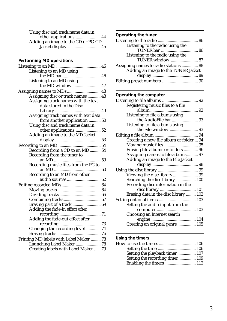| Using disc and track name data in  |
|------------------------------------|
|                                    |
| Adding an image to the CD or PC-CD |
| Jacket display  45                 |

## **Performing MD operations**

| Listening to an MD using                |  |
|-----------------------------------------|--|
|                                         |  |
| Listening to an MD using                |  |
| the MD window  47                       |  |
| Assigning names to MDs  48              |  |
| Assigning disc or track names  48       |  |
| Assigning track names with the text     |  |
| data stored in the Disc                 |  |
|                                         |  |
| Assigning track names with text data    |  |
| from another application  50            |  |
| Using disc and track name data in       |  |
| other applications  52                  |  |
| Adding an image to the MD Jacket        |  |
|                                         |  |
|                                         |  |
| Recording from a CD to an MD 54         |  |
| Recording from the tuner to             |  |
|                                         |  |
| Recording music files from the PC to    |  |
|                                         |  |
| Recording to an MD from other           |  |
| audio sources  62                       |  |
|                                         |  |
|                                         |  |
|                                         |  |
|                                         |  |
| Erasing part of a track  69             |  |
| Adding the fade-in effect after         |  |
|                                         |  |
| Adding the fade-out effect after        |  |
|                                         |  |
| Changing the recording level  74        |  |
|                                         |  |
| Printing MD labels with Label Maker  78 |  |
| Launching Label Maker  78               |  |
| Creating labels with Label Maker  79    |  |
|                                         |  |

#### **Operating the tuner**

| Listening to the radio using the      |  |
|---------------------------------------|--|
|                                       |  |
| Listening to the radio using the      |  |
| TUNER window  87                      |  |
| Assigning names to radio stations  88 |  |
| Adding an image to the TUNER Jacket   |  |
|                                       |  |
|                                       |  |

## **Operating the computer**

| Registering music files to a file       |  |
|-----------------------------------------|--|
|                                         |  |
| Listening to file albums using          |  |
| the AudioFile bar  93                   |  |
| Listening to file albums using          |  |
|                                         |  |
|                                         |  |
| Creating a new file album or folder  94 |  |
|                                         |  |
| Erasing file albums or folders  96      |  |
| Assigning names to file albums 97       |  |
| Adding an image to the File Jacket      |  |
|                                         |  |
|                                         |  |
| Viewing the disc library 99             |  |
| Searching the disc library  100         |  |
| Recording disc information in the       |  |
|                                         |  |
| Erasing data in the disc library  102   |  |
|                                         |  |
|                                         |  |
|                                         |  |
| Setting the audio input from the        |  |
|                                         |  |
| Choosing an Internet search             |  |
| Creating an original genre  105         |  |

## **Using the timers**

| Setting the playback timer 107   |
|----------------------------------|
| Setting the recording timer  109 |
|                                  |
|                                  |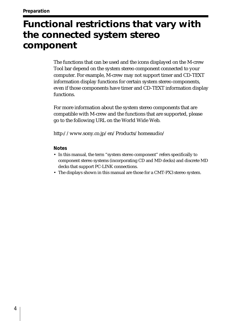# **Functional restrictions that vary with the connected system stereo component**

The functions that can be used and the icons displayed on the M-crew Tool bar depend on the system stereo component connected to your computer. For example, M-crew may not support timer and CD-TEXT information display functions for certain system stereo components, even if those components have timer and CD-TEXT information display functions.

For more information about the system stereo components that are compatible with M-crew and the functions that are supported, please go to the following URL on the World Wide Web.

http://www.sony.co.jp/en/Products/homeaudio/

#### **Notes**

- In this manual, the term "system stereo component" refers specifically to component stereo systems (incorporating CD and MD decks) and discrete MD decks that support PC-LINK connections.
- The displays shown in this manual are those for a CMT-PX3 stereo system.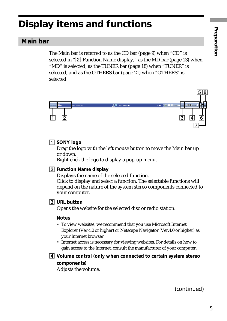# **Display items and functions**

# **Main bar**

The Main bar is referred to as the CD bar (page 9) when "CD" is selected in " $\boxed{2}$  Function Name display," as the MD bar (page 13) when "MD" is selected, as the TUNER bar (page 18) when "TUNER" is selected, and as the OTHERS bar (page 21) when "OTHERS" is selected.



## 1 **SONY logo**

Drag the logo with the left mouse button to move the Main bar up or down.

Right-click the logo to display a pop-up menu.

#### 2 **Function Name display**

Displays the name of the selected function.

Click to display and select a function. The selectable functions will depend on the nature of the system stereo components connected to your computer.

#### 3 **URL button**

Opens the website for the selected disc or radio station.

#### **Notes**

- To view websites, we recommend that you use Microsoft Internet Explorer (Ver.4.0 or higher) or Netscape Navigator (Ver.4.0 or higher) as your Internet browser.
- Internet access is necessary for viewing websites. For details on how to gain access to the Internet, consult the manufacturer of your computer.
- 4 **Volume control (only when connected to certain system stereo components)**

Adjusts the volume.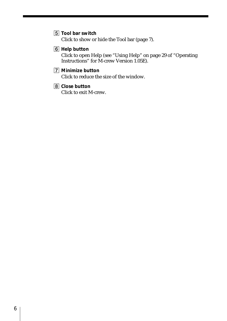- 5 **Tool bar switch** Click to show or hide the Tool bar (page 7).
- 6 **Help button**

Click to open Help (see "Using Help" on page 29 of "Operating Instructions" for M-crew Version 1.05E).

# 7 **Minimize button**

Click to reduce the size of the window.

8 **Close button** Click to exit M-crew.

6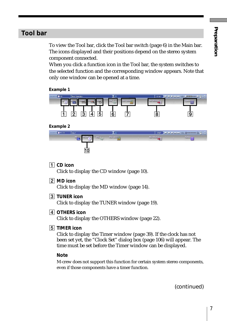# **Tool bar**

To view the Tool bar, click the Tool bar switch (page 6) in the Main bar. The icons displayed and their positions depend on the stereo system component connected.

When you click a function icon in the Tool bar, the system switches to the selected function and the corresponding window appears. Note that only one window can be opened at a time.





| $\bullet$ PC-CD | disc1 |                       | ooo <sup>.</sup>  | <b>UP II II HANG UP</b> | $\mathbf{x}$<br><b>Emmunum</b> |
|-----------------|-------|-----------------------|-------------------|-------------------------|--------------------------------|
|                 | un.   | Disc Library<br>File. | <b>Rec Window</b> |                         | <b>Collony</b><br>Ŧ            |
|                 |       |                       |                   |                         |                                |

1 **CD icon**

Click to display the CD window (page 10).

2 **MD icon**

Click to display the MD window (page 14).

3 **TUNER icon**

Click to display the TUNER window (page 19).

4 **OTHERS icon**

Click to display the OTHERS window (page 22).

5 **TIMER icon**

Click to display the Timer window (page 39). If the clock has not been set yet, the "Clock Set" dialog box (page 106) will appear. The time must be set before the Timer window can be displayed.

#### **Note**

M-crew does not support this function for certain system stereo components, even if those components have a timer function.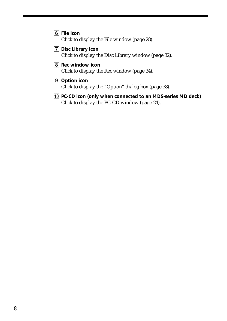- 6 **File icon** Click to display the File window (page 28).
- 7 **Disc Library icon** Click to display the Disc Library window (page 32).
- 8 **Rec window icon** Click to display the Rec window (page 34).
- 9 **Option icon** Click to display the "Option" dialog box (page 38).
- 0 **PC-CD icon (only when connected to an MDS-series MD deck)** Click to display the PC-CD window (page 24).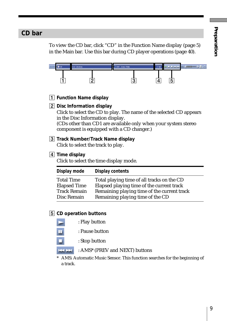# **CD bar**

To view the CD bar, click "CD" in the Function Name display (page 5) in the Main bar. Use this bar during CD player operations (page 40).



- 1 **Function Name display**
- 2 **Disc Information display**

Click to select the CD to play. The name of the selected CD appears in the Disc Information display.

(CDs other than CD1 are available only when your system stereo component is equipped with a CD changer.)

3 **Track Number/Track Name display** Click to select the track to play.

#### 4 **Time display**

Click to select the time display mode.

| Display mode        | Display contents                            |
|---------------------|---------------------------------------------|
| <b>Total Time</b>   | Total playing time of all tracks on the CD  |
| <b>Elapsed Time</b> | Elapsed playing time of the current track   |
| <b>Track Remain</b> | Remaining playing time of the current track |
| Disc Remain         | Remaining playing time of the CD            |

#### 5 **CD operation buttons**

: Play button : Pause button : Stop button

**HALFAR** : AMS\* (PREV and NEXT) buttons

\* AMS: Automatic Music Sensor. This function searches for the beginning of a track.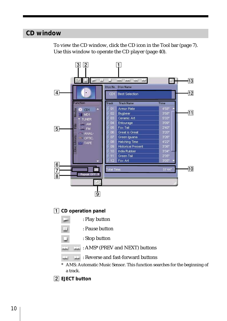# **CD window**

To view the CD window, click the CD icon in the Tool bar (page 7). Use this window to operate the CD player (page 40).

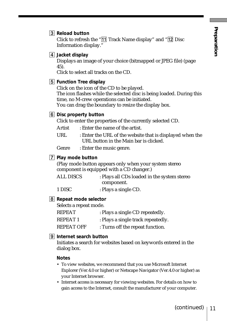#### 3 **Reload button**

Click to refresh the " $\overline{11}$  Track Name display" and " $\overline{12}$  Disc Information display."

#### 4 **Jacket display**

Displays an image of your choice (bitmapped or JPEG file) (page 45).

Click to select all tracks on the CD.

#### 5 **Function Tree display**

Click on the icon of the CD to be played. The icon flashes while the selected disc is being loaded. During this time, no M-crew operations can be initiated. You can drag the boundary to resize the display box.

#### 6 **Disc property button**

Click to enter the properties of the currently selected CD.

- Artist : Enter the name of the artist.
- URL : Enter the URL of the website that is displayed when the URL button in the Main bar is clicked.

Genre : Enter the music genre.

#### 7 **Play mode button**

(Play mode button appears only when your system stereo component is equipped with a CD changer.)

| <b>ALL DISCS</b> | : Plays all CDs loaded in the system stereo |
|------------------|---------------------------------------------|
|                  | component.                                  |
| 1 DISC           | : Plays a single CD.                        |

#### 8 **Repeat mode selector**

Selects a repeat mode.

| <b>REPEAT</b>     | : Plays a single CD repeatedly.    |
|-------------------|------------------------------------|
| <b>REPEAT1</b>    | : Plays a single track repeatedly. |
| <b>REPEAT OFF</b> | : Turns off the repeat function.   |

#### 9 **Internet search button**

Initiates a search for websites based on keywords entered in the dialog box.

#### **Notes**

- To view websites, we recommend that you use Microsoft Internet Explorer (Ver.4.0 or higher) or Netscape Navigator (Ver.4.0 or higher) as your Internet browser.
- Internet access is necessary for viewing websites. For details on how to gain access to the Internet, consult the manufacturer of your computer.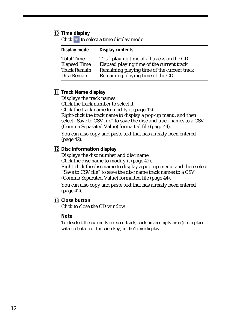#### 0 **Time display**

Click  $\blacksquare$  to select a time display mode.

| Display mode        | <b>Display contents</b>                     |
|---------------------|---------------------------------------------|
| <b>Total Time</b>   | Total playing time of all tracks on the CD  |
| <b>Elapsed Time</b> | Elapsed playing time of the current track   |
| <b>Track Remain</b> | Remaining playing time of the current track |
| Disc Remain         | Remaining playing time of the CD            |

#### **11** Track Name display

Displays the track names.

Click the track number to select it.

Click the track name to modify it (page 42).

Right-click the track name to display a pop-up menu, and then select "Save to CSV file" to save the disc and track names to a CSV (Comma Separated Value) formatted file (page 44).

You can also copy and paste text that has already been entered (page 42).

#### 12 Disc Information display

Displays the disc number and disc name.

Click the disc name to modify it (page 42).

Right-click the disc name to display a pop-up menu, and then select "Save to CSV file" to save the disc name track names to a CSV (Comma Separated Value) formatted file (page 44).

You can also copy and paste text that has already been entered (page 42).

**13** Close button

Click to close the CD window.

#### **Note**

To deselect the currently selected track, click on an empty area (i.e., a place with no button or function key) in the Time display.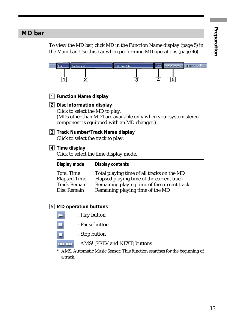# **MD bar**

To view the MD bar, click MD in the Function Name display (page 5) in the Main bar. Use this bar when performing MD operations (page 46).

|                                                                       | E MD<br><b>Best Selection MD</b>                                        | <b>II</b> III and seat<br><b>CITILITIONING</b><br>J 001 - Armor Plate<br>18'22<br>5<br>4                                                                                   |
|-----------------------------------------------------------------------|-------------------------------------------------------------------------|----------------------------------------------------------------------------------------------------------------------------------------------------------------------------|
|                                                                       | 1 Function Name display                                                 |                                                                                                                                                                            |
|                                                                       | [2] Disc Information display<br>Click to select the MD to play.         | (MDs other than MD1 are available only when your system stereo<br>component is equipped with an MD changer.)                                                               |
|                                                                       | Click to select the track to play.                                      | 3 Track Number/Track Name display                                                                                                                                          |
| $\vert 4\vert$ Time display<br>Click to select the time display mode. |                                                                         |                                                                                                                                                                            |
|                                                                       | Display mode                                                            | <b>Display contents</b>                                                                                                                                                    |
|                                                                       | <b>Total Time</b><br><b>Elapsed Time</b><br>Track Remain<br>Disc Remain | Total playing time of all tracks on the MD<br>Elapsed playing time of the current track<br>Remaining playing time of the current track<br>Remaining playing time of the MD |

## 5 **MD operation buttons**

| : Play button |
|---------------|
|               |

- : Pause button ш
- : Stop button п
- **BRIDE** : AMS\* (PREV and NEXT) buttons
- \* AMS: Automatic Music Sensor. This function searches for the beginning of a track.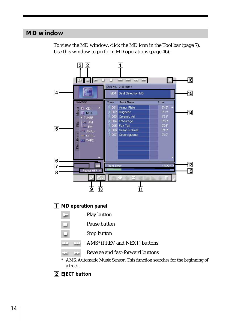# **MD window**

To view the MD window, click the MD icon in the Tool bar (page 7). Use this window to perform MD operations (page 46).



2 **EJECT button**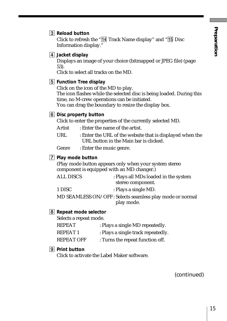#### 3 **Reload button**

Click to refresh the " $\overline{14}$  Track Name display" and " $\overline{15}$  Disc Information display."

4 **Jacket display**

Displays an image of your choice (bitmapped or JPEG file) (page 53).

Click to select all tracks on the MD.

#### 5 **Function Tree display**

Click on the icon of the MD to play.

The icon flashes while the selected disc is being loaded. During this time, no M-crew operations can be initiated.

You can drag the boundary to resize the display box.

## 6 **Disc property button**

Click to enter the properties of the currently selected MD.

- Artist : Enter the name of the artist.
- URL : Enter the URL of the website that is displayed when the URL button in the Main bar is clicked.

Genre : Enter the music genre.

#### 7 **Play mode button**

(Play mode button appears only when your system stereo component is equipped with an MD changer.)

| <b>ALL DISCS</b> | : Plays all MDs loaded in the system                     |
|------------------|----------------------------------------------------------|
|                  | stereo component.                                        |
| 1 DISC           | : Plays a single MD.                                     |
|                  | MD SEAMLESS ON/OFF: Selects seamless play mode or normal |
|                  | play mode.                                               |

#### 8 **Repeat mode selector**

Selects a repeat mode.

| <b>REPEAT</b>     | : Plays a single MD repeatedly.    |
|-------------------|------------------------------------|
| <b>REPEAT1</b>    | : Plays a single track repeatedly. |
| <b>REPEAT OFF</b> | : Turns the repeat function off.   |

#### 9 **Print button**

Click to activate the Label Maker software.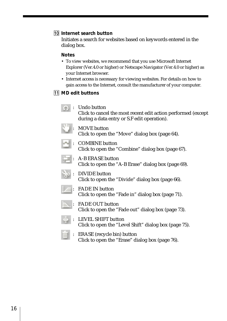#### 0 **Internet search button**

Initiates a search for websites based on keywords entered in the dialog box.

#### **Notes**

- To view websites, we recommend that you use Microsoft Internet Explorer (Ver.4.0 or higher) or Netscape Navigator (Ver.4.0 or higher) as your Internet browser.
- Internet access is necessary for viewing websites. For details on how to gain access to the Internet, consult the manufacturer of your computer.

## **11** MD edit buttons

- : Undo button Click to cancel the most recent edit action performed (except during a data entry or S.F edit operation).
- MOVE button
	- Click to open the "Move" dialog box (page 64).



: COMBINE button Click to open the "Combine" dialog box (page 67).



- : A-B ERASE button Click to open the "A-B Erase" dialog box (page 69).
- : DIVIDE button Click to open the "Divide" dialog box (page 66).
- : FADE IN button Click to open the "Fade in" dialog box (page 71).
- : FADE OUT button Click to open the "Fade out" dialog box (page 73).
- : LEVEL SHIFT button Click to open the "Level Shift" dialog box (page 75).
- : ERASE (recycle bin) button Click to open the "Erase" dialog box (page 76).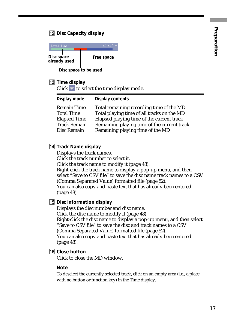## **12 Disc Capacity display**

| Total Time:                | 140' 44''             |
|----------------------------|-----------------------|
| Disc space<br>already used | Free space            |
|                            | Disc space to be used |

# **13** Time display

Click  $\bullet$  to select the time display mode.

| Display mode        | Display contents                            |
|---------------------|---------------------------------------------|
| <b>Remain Time</b>  | Total remaining recording time of the MD    |
| <b>Total Time</b>   | Total playing time of all tracks on the MD  |
| <b>Elapsed Time</b> | Elapsed playing time of the current track   |
| <b>Track Remain</b> | Remaining playing time of the current track |
| Disc Remain         | Remaining playing time of the MD            |

## **14** Track Name display

Displays the track names.

Click the track number to select it.

Click the track name to modify it (page 48).

Right-click the track name to display a pop-up menu, and then select "Save to CSV file" to save the disc name track names to a CSV (Comma Separated Value) formatted file (page 52). You can also copy and paste text that has already been entered

(page 48).

## **15 Disc Information display**

Displays the disc number and disc name. Click the disc name to modify it (page 48). Right-click the disc name to display a pop-up menu, and then select "Save to CSV file" to save the disc and track names to a CSV (Comma Separated Value) formatted file (page 52). You can also copy and paste text that has already been entered (page 48).

#### **16** Close button

Click to close the MD window.

#### **Note**

To deselect the currently selected track, click on an empty area (i.e., a place with no button or function key) in the Time display.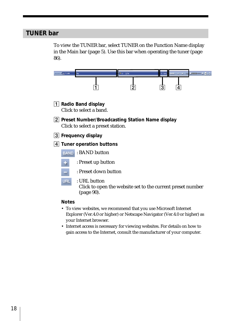# **TUNER bar**

To view the TUNER bar, select TUNER on the Function Name display in the Main bar (page 5). Use this bar when operating the tuner (page 86).

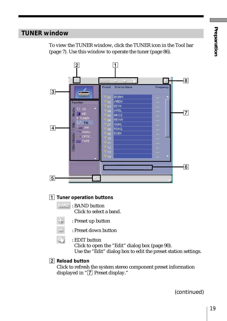# **TUNER window**



To view the TUNER window, click the TUNER icon in the Tool bar (page 7). Use this window to operate the tuner (page 86).

# 1 **Tuner operation buttons**

**BAND**: BAND button Click to select a band.

÷. : Preset up button



 $Q_0$ : EDIT button

Click to open the "Edit" dialog box (page 90). Use the "Edit" dialog box to edit the preset station settings.

2 **Reload button**

Click to refresh the system stereo component preset information displayed in "7 Preset display."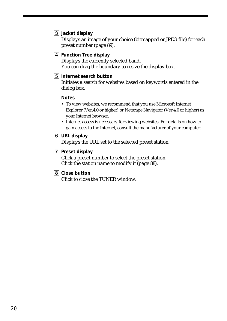#### 3 **Jacket display**

Displays an image of your choice (bitmapped or JPEG file) for each preset number (page 89).

## 4 **Function Tree display**

Displays the currently selected band. You can drag the boundary to resize the display box.

#### 5 **Internet search button**

Initiates a search for websites based on keywords entered in the dialog box.

#### **Notes**

- To view websites, we recommend that you use Microsoft Internet Explorer (Ver.4.0 or higher) or Netscape Navigator (Ver.4.0 or higher) as your Internet browser.
- Internet access is necessary for viewing websites. For details on how to gain access to the Internet, consult the manufacturer of your computer.

#### 6 **URL display**

Displays the URL set to the selected preset station.

#### 7 **Preset display**

Click a preset number to select the preset station. Click the station name to modify it (page 88).

#### 8 **Close button**

Click to close the TUNER window.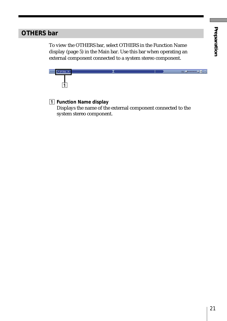# **OTHERS bar**

To view the OTHERS bar, select OTHERS in the Function Name display (page 5) in the Main bar. Use this bar when operating an external component connected to a system stereo component.



## 1 **Function Name display**

Displays the name of the external component connected to the system stereo component.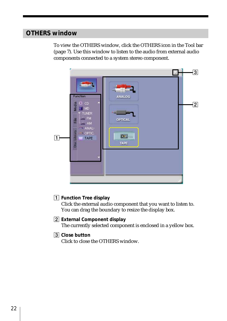# **OTHERS window**

To view the OTHERS window, click the OTHERS icon in the Tool bar (page 7). Use this window to listen to the audio from external audio components connected to a system stereo component.

|           |                                                                                                                                                                                   |                                                                                | $\overline{3}$ |
|-----------|-----------------------------------------------------------------------------------------------------------------------------------------------------------------------------------|--------------------------------------------------------------------------------|----------------|
| $\vert$ 1 | <b>The case 1</b><br><b>Function</b><br>$\bullet$ CD<br>Media<br>M <sub>D</sub><br><b>TUNER</b><br>$-$ FM<br>File<br>$= AM$<br>ANALI<br>Disc Library<br>$-$ OPTIC.<br><b>TAPE</b> | <b>Tann</b><br>ANALOG<br><b>HEAR</b><br><b>OPTICAL</b><br>$\rho$ . $=$<br>TAPE | $\overline{2}$ |
|           |                                                                                                                                                                                   |                                                                                |                |

#### 1 **Function Tree display**

Click the external audio component that you want to listen to. You can drag the boundary to resize the display box.

#### 2 **External Component display**

The currently selected component is enclosed in a yellow box.

#### 3 **Close button**

Click to close the OTHERS window.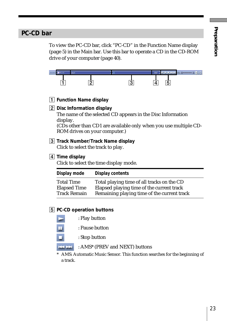# **PC-CD bar**

To view the PC-CD bar, click "PC-CD" in the Function Name display (page 5) in the Main bar. Use this bar to operate a CD in the CD-ROM drive of your computer (page 40).



- 1 **Function Name display**
- 2 **Disc Information display**

The name of the selected CD appears in the Disc Information display.

(CDs other than CD1 are available only when you use multiple CD-ROM drives on your computer.)

3 **Track Number/Track Name display** Click to select the track to play.

## 4 **Time display**

Click to select the time display mode.

| Display mode        | Display contents                            |
|---------------------|---------------------------------------------|
| <b>Total Time</b>   | Total playing time of all tracks on the CD  |
| <b>Elapsed Time</b> | Elapsed playing time of the current track   |
| <b>Track Remain</b> | Remaining playing time of the current track |

#### 5 **PC-CD operation buttons**

- : Play button
- : Pause button
	-
	- : Stop button
- 144, 144 : AMS\* (PREV and NEXT) buttons

\* AMS: Automatic Music Sensor. This function searches for the beginning of a track.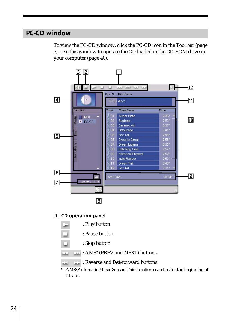# **PC-CD window**

To view the PC-CD window, click the PC-CD icon in the Tool bar (page 7). Use this window to operate the CD loaded in the CD-ROM drive in your computer (page 40).

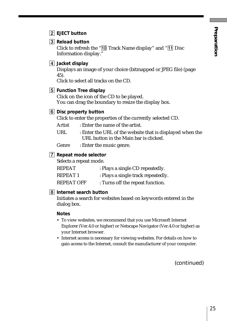2 **EJECT button**

## 3 **Reload button**

Click to refresh the " $\boxed{10}$  Track Name display" and " $\boxed{11}$  Disc Information display."

#### 4 **Jacket display**

Displays an image of your choice (bitmapped or JPEG file) (page 45).

Click to select all tracks on the CD.

#### 5 **Function Tree display**

Click on the icon of the CD to be played. You can drag the boundary to resize the display box.

## 6 **Disc property button**

Click to enter the properties of the currently selected CD.

Artist : Enter the name of the artist.

URL : Enter the URL of the website that is displayed when the URL button in the Main bar is clicked.

Genre : Enter the music genre.

#### 7 **Repeat mode selector**

Selects a repeat mode.

| <b>REPEAT</b>     | : Plays a single CD repeatedly.    |
|-------------------|------------------------------------|
| <b>REPEAT1</b>    | : Plays a single track repeatedly. |
| <b>REPEAT OFF</b> | : Turns off the repeat function.   |

#### 8 **Internet search button**

Initiates a search for websites based on keywords entered in the dialog box.

#### **Notes**

- To view websites, we recommend that you use Microsoft Internet Explorer (Ver.4.0 or higher) or Netscape Navigator (Ver.4.0 or higher) as your Internet browser.
- Internet access is necessary for viewing websites. For details on how to gain access to the Internet, consult the manufacturer of your computer.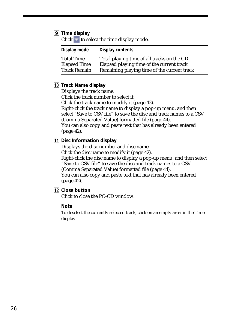#### 9 **Time display**

Click  $\blacktriangleright$  to select the time display mode.

| Display mode        | Display contents                            |
|---------------------|---------------------------------------------|
| <b>Total Time</b>   | Total playing time of all tracks on the CD  |
| <b>Elapsed Time</b> | Elapsed playing time of the current track   |
| <b>Track Remain</b> | Remaining playing time of the current track |

#### 0 **Track Name display**

Displays the track name.

Click the track number to select it.

Click the track name to modify it (page 42).

Right-click the track name to display a pop-up menu, and then select "Save to CSV file" to save the disc and track names to a CSV (Comma Separated Value) formatted file (page 44).

You can also copy and paste text that has already been entered (page 42).

#### **11 Disc Information display**

Displays the disc number and disc name.

Click the disc name to modify it (page 42).

Right-click the disc name to display a pop-up menu, and then select "Save to CSV file" to save the disc and track names to a CSV (Comma Separated Value) formatted file (page 44). You can also copy and paste text that has already been entered

(page 42).

**12** Close button

Click to close the PC-CD window.

#### **Note**

To deselect the currently selected track, click on an empty area in the Time display.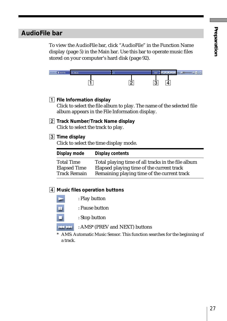# **AudioFile bar**

To view the AudioFile bar, click "AudioFile" in the Function Name display (page 5) in the Main bar. Use this bar to operate music files stored on your computer's hard disk (page 92).



1 **File Information display**

Click to select the file album to play. The name of the selected file album appears in the File Information display.

2 **Track Number/Track Name display** Click to select the track to play.

## 3 **Time display**

Click to select the time display mode.

| Display mode        | Display contents                                   |
|---------------------|----------------------------------------------------|
| <b>Total Time</b>   | Total playing time of all tracks in the file album |
| <b>Elapsed Time</b> | Elapsed playing time of the current track          |
| <b>Track Remain</b> | Remaining playing time of the current track        |

#### 4 **Music files operation buttons**

| : Play button  |  |
|----------------|--|
| : Pause button |  |
| : Stop button  |  |
|                |  |

: AMS\* (PREV and NEXT) buttons **Helper** 

\* AMS: Automatic Music Sensor. This function searches for the beginning of a track.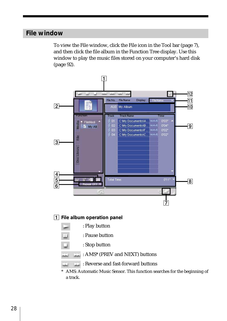# **File window**

To view the File window, click the File icon in the Tool bar (page 7), and then click the file album in the Function Tree display. Use this window to play the music files stored on your computer's hard disk (page 92).



aal. : AMS\* (PREV and NEXT) buttons

: Reverse and fast-forward buttons

\* AMS: Automatic Music Sensor. This function searches for the beginning of a track.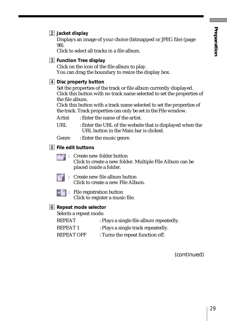## 2 **Jacket display**

Displays an image of your choice (bitmapped or JPEG file) (page 98).

Click to select all tracks in a file album.

## 3 **Function Tree display**

Click on the icon of the file album to play. You can drag the boundary to resize the display box.

#### 4 **Disc property button**

Set the properties of the track or file album currently displayed. Click this button with no track name selected to set the properties of the file album.

Click this button with a track name selected to set the properties of the track. Track properties can only be set in the File window.

Artist : Enter the name of the artist.

URL : Enter the URL of the website that is displayed when the URL button in the Main bar is clicked.

Genre : Enter the music genre.

- 5 **File edit buttons**
	- : Create new folder button Click to create a new folder. Multiple File Album can be placed inside a folder.



: Create new file album button Click to create a new File Album.



 $\Box$ : File registration button Click to register a music file.

## 6 **Repeat mode selector**

Selects a repeat mode.

| <b>REPEAT</b>     | : Plays a single file album repeatedly. |
|-------------------|-----------------------------------------|
| REPEAT 1          | : Plays a single track repeatedly.      |
| <b>REPEAT OFF</b> | : Turns the repeat function off.        |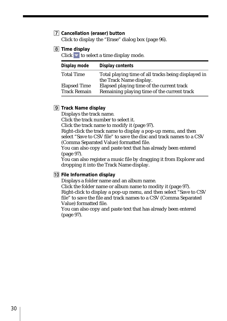# 7 **Cancellation (eraser) button**

Click to display the "Erase" dialog box (page 96).

8 **Time display**

Click  $\blacksquare$  to select a time display mode.

| Display mode        | Display contents                                    |
|---------------------|-----------------------------------------------------|
| <b>Total Time</b>   | Total playing time of all tracks being displayed in |
|                     | the Track Name display.                             |
| <b>Elapsed Time</b> | Elapsed playing time of the current track           |
| <b>Track Remain</b> | Remaining playing time of the current track         |

9 **Track Name display**

Displays the track name.

Click the track number to select it.

Click the track name to modify it (page 97).

Right-click the track name to display a pop-up menu, and then select "Save to CSV file" to save the disc and track names to a CSV (Comma Separated Value) formatted file.

You can also copy and paste text that has already been entered (page 97).

You can also register a music file by dragging it from Explorer and dropping it into the Track Name display.

#### 0 **File Information display**

Displays a folder name and an album name.

Click the folder name or album name to modity it (page 97). Right-click to display a pop-up menu, and then select "Save to CSV file" to save the file and track names to a CSV (Comma Separated Value) formatted file.

You can also copy and paste text that has already been entered (page 97).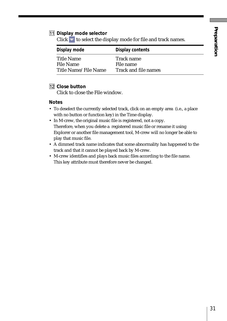#### **11 Display mode selector**

 $Click \t to select the display mode for file and track names.$ 

| Display mode         | Display contents     |
|----------------------|----------------------|
| Title Name           | Track name           |
| File Name            | File name            |
| Title Name/File Name | Track and file names |

#### **12** Close button

Click to close the File window.

#### **Notes**

- To deselect the currently selected track, click on an empty area (i.e., a place with no button or function key) in the Time display.
- In M-crew, the original music file is registered, not a copy. Therefore, when you delete a registered music file or rename it using Explorer or another file management tool, M-crew will no longer be able to play that music file.
- A dimmed track name indicates that some abnormality has happened to the track and that it cannot be played back by M-crew.
- M-crew identifies and plays back music files according to the file name. This key attribute must therefore never be changed.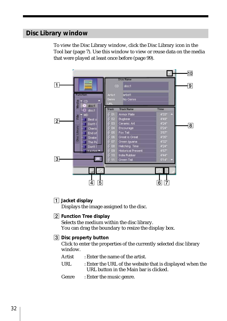# **Disc Library window**

To view the Disc Library window, click the Disc Library icon in the Tool bar (page 7). Use this window to view or reuse data on the media that were played at least once before (page 99).



1 **Jacket display**

Displays the image assigned to the disc.

2 **Function Tree display**

Selects the medium within the disc library. You can drag the boundary to resize the display box.

#### 3 **Disc property button**

Click to enter the properties of the currently selected disc library window.

- Artist : Enter the name of the artist.
- URL : Enter the URL of the website that is displayed when the URL button in the Main bar is clicked.
- Genre : Enter the music genre.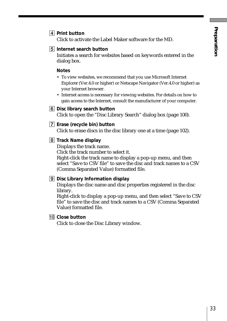## 4 **Print button**

Click to activate the Label Maker software for the MD.

#### 5 **Internet search button**

Initiates a search for websites based on keywords entered in the dialog box.

#### **Notes**

- To view websites, we recommend that you use Microsoft Internet Explorer (Ver.4.0 or higher) or Netscape Navigator (Ver.4.0 or higher) as your Internet browser.
- Internet access is necessary for viewing websites. For details on how to gain access to the Internet, consult the manufacturer of your computer.

#### 6 **Disc library search button**

Click to open the "Disc Library Search" dialog box (page 100).

#### 7 **Erase (recycle bin) button**

Click to erase discs in the disc library one at a time (page 102).

#### 8 **Track Name display**

Displays the track name.

Click the track number to select it.

Right-click the track name to display a pop-up menu, and then select "Save to CSV file" to save the disc and track names to a CSV (Comma Separated Value) formatted file.

#### 9 **Disc Library Information display**

Displays the disc name and disc properties registered in the disc library.

Right-click to display a pop-up menu, and then select "Save to CSV file" to save the disc and track names to a CSV (Comma Separated Value) formatted file.

#### 0 **Close button**

Click to close the Disc Library window.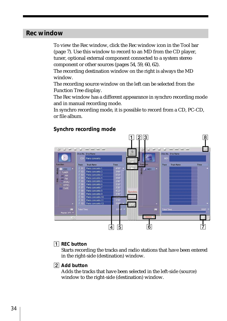# **Rec window**

To view the Rec window, click the Rec window icon in the Tool bar (page 7). Use this window to record to an MD from the CD player, tuner, optional external component connected to a system stereo component or other sources (pages 54, 59, 60, 62).

The recording destination window on the right is always the MD window.

The recording source window on the left can be selected from the Function Tree display.

The Rec window has a different appearance in synchro recording mode and in manual recording mode.

In synchro recording mode, it is possible to record from a CD, PC-CD, or file album.

#### **Synchro recording mode**



## 1 **REC button**

Starts recording the tracks and radio stations that have been entered in the right-side (destination) window.

## 2 **Add button**

Adds the tracks that have been selected in the left-side (source) window to the right-side (destination) window.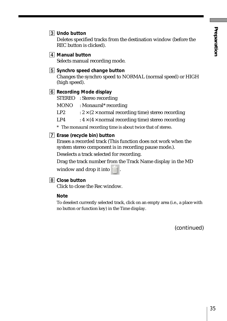3 **Undo button**

Deletes specified tracks from the destination window (before the REC button is clicked).

4 **Manual button** Selects manual recording mode.

## 5 **Synchro speed change button**

Changes the synchro speed to NORMAL (normal speed) or HIGH (high speed).

## 6 **Recording Mode display**

STEREO : Stereo recording

- MONO : Monaural\* recording
- LP2  $: 2 \times (2 \times \text{normal } \text{ recording time})$  stereo recording
- LP4 :  $4 \times (4 \times normal$  recording time) stereo recording
- \* The monaural recording time is about twice that of stereo.
- 7 **Erase (recycle bin) button**

Erases a recorded track (This function does not work when the system stereo component is in recording pause mode.).

Deselects a track selected for recording.

Drag the track number from the Track Name display in the MD window and drop it into  $\mathbb{H}$ 

#### 8 **Close button**

Click to close the Rec window.

#### **Note**

To deselect currently selected track, click on an empty area (i.e., a place with no button or function key) in the Time display.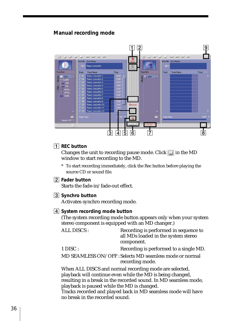## **Manual recording mode**



# 1 **REC button**

Changes the unit to recording pause mode. Click  $\Box$  in the MD window to start recording to the MD.

\* To start recording immediately, click the Rec button before playing the source CD or sound file.

## 2 **Fader button**

Starts the fade-in/fade-out effect.

## 3 **Synchro button**

Activates synchro recording mode.

#### 4 **System recording mode button**

(The system recording mode button appears only when your system stereo component is equipped with an MD changer.)

ALL DISCS : Recording is performed in sequence to all MDs loaded in the system stereo component.

1 DISC : Recording is performed to a single MD.

MD SEAMLESS ON/OFF : Selects MD seamless mode or normal recording mode.

When ALL DISCS and normal recording mode are selected, playback will continue even while the MD is being changed, resulting in a break in the recorded sound. In MD seamless mode, playback is paused while the MD is changed. Tracks recorded and played back in MD seamless mode will have

no break in the recorded sound.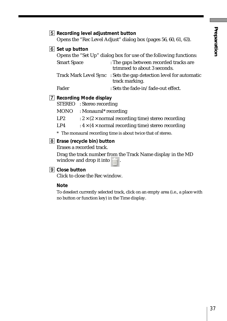# 5 **Recording level adjustment button**

Opens the "Rec Level Adjust" dialog box (pages 56, 60, 61, 63).

# 6 **Set up button**

|                    | Opens the "Set Up" dialog box for use of the following functions:                    |
|--------------------|--------------------------------------------------------------------------------------|
| <b>Smart Space</b> | : The gaps between recorded tracks are<br>trimmed to about 3 seconds.                |
|                    | Track Mark Level Sync : Sets the gap detection level for automatic<br>track marking. |
| Fader              | : Sets the fade-in/fade-out effect.                                                  |

#### 7 **Recording Mode display**

STEREO : Stereo recording MONO : Monaural\* recording LP2 :  $2 \times (2 \times$  normal recording time) stereo recording LP4 :  $4 \times (4 \times normal recording time)$  stereo recording

\* The monaural recording time is about twice that of stereo.

#### 8 **Erase (recycle bin) button**

Erases a recorded track.

Drag the track number from the Track Name display in the MD window and drop it into

#### 9 **Close button**

Click to close the Rec window.

#### **Note**

To deselect currently selected track, click on an empty area (i.e., a place with no button or function key) in the Time display.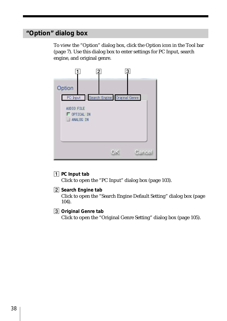# **"Option" dialog box**

To view the "Option" dialog box, click the Option icon in the Tool bar (page 7). Use this dialog box to enter settings for PC Input, search engine, and original genre.

|                                              | 2                                         | 3      |
|----------------------------------------------|-------------------------------------------|--------|
| Option                                       |                                           |        |
| AUDIO FILE<br>$\Box$ OPTICAL IN<br>ANALOG IN | PC Input   Search Engine   Original Genre |        |
|                                              |                                           | Cancel |

1 **PC Input tab**

Click to open the "PC Input" dialog box (page 103).

2 **Search Engine tab**

Click to open the "Search Engine Default Setting" dialog box (page 104).

3 **Original Genre tab**

Click to open the "Original Genre Setting" dialog box (page 105).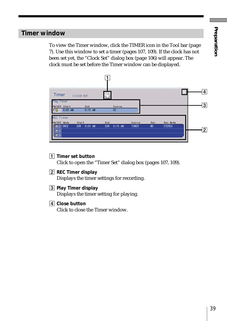# **Timer window**

To view the Timer window, click the TIMER icon in the Tool bar (page 7). Use this window to set a timer (pages 107, 109). If the clock has not been set yet, the "Clock Set" dialog box (page 106) will appear. The clock must be set before the Timer window can be displayed.



1 **Timer set button**

Click to open the "Timer Set" dialog box (pages 107, 109).

2 **REC Timer display**

Displays the timer settings for recording.

- 3 **Play Timer display** Displays the timer setting for playing.
- 4 **Close button** Click to close the Timer window.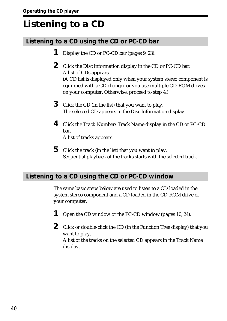# **Listening to a CD**

# **Listening to a CD using the CD or PC-CD bar**

- **1** Display the CD or PC-CD bar (pages 9, 23).
- **2** Click the Disc Information display in the CD or PC-CD bar. A list of CDs appears. (A CD list is displayed only when your system stereo component is equipped with a CD changer or you use multiple CD-ROM drives on your computer. Otherwise, proceed to step 4.)
- **3** Click the CD (in the list) that you want to play. The selected CD appears in the Disc Information display.
- **4** Click the Track Number/Track Name display in the CD or PC-CD bar. A list of tracks appears.
- **5** Click the track (in the list) that you want to play. Sequential playback of the tracks starts with the selected track.

# **Listening to a CD using the CD or PC-CD window**

display.

The same basic steps below are used to listen to a CD loaded in the system stereo component and a CD loaded in the CD-ROM drive of your computer.

- **1** Open the CD window or the PC-CD window (pages 10, 24).
- **2** Click or double-click the CD (in the Function Tree display) that you want to play. A list of the tracks on the selected CD appears in the Track Name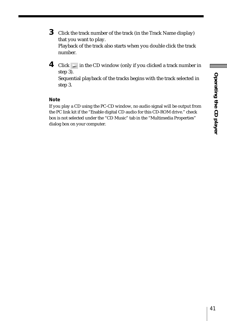- **3** Click the track number of the track (in the Track Name display) that you want to play. Playback of the track also starts when you double click the track number.
- **4** Click in the CD window (only if you clicked a track number in step 3). Sequential playback of the tracks begins with the track selected in step 3.

#### **Note**

If you play a CD using the PC-CD window, no audio signal will be output from the PC link kit if the "Enable digital CD audio for this CD-ROM drive." check box is not selected under the "CD Music" tab in the "Multimedia Properties" dialog box on your computer.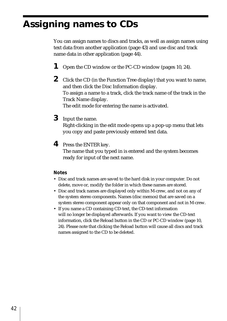# **Assigning names to CDs**

You can assign names to discs and tracks, as well as assign names using text data from another application (page 43) and use disc and track name data in other application (page 44).

- **1** Open the CD window or the PC-CD window (pages 10, 24).
- **2** Click the CD (in the Function Tree display) that you want to name, and then click the Disc Information display. To assign a name to a track, click the track name of the track in the Track Name display. The edit mode for entering the name is activated.
- **3** Input the name.

Right-clicking in the edit mode opens up a pop-up menu that lets you copy and paste previously entered text data.

**4** Press the ENTER key.

The name that you typed in is entered and the system becomes ready for input of the next name.

#### **Notes**

- Disc and track names are saved to the hard disk in your computer. Do not delete, move or, modify the folder in which these names are stored.
- Disc and track names are displayed only within M-crew, and not on any of the system stereo components. Names (disc memos) that are saved on a system stereo component appear only on that component and not in M-crew.
- If you name a CD containing CD-text, the CD-text information will no longer be displayed afterwards. If you want to view the CD-text information, click the Reload button in the CD or PC-CD window (page 10, 24). Please note that clicking the Reload button will cause all discs and track names assigned to the CD to be deleted.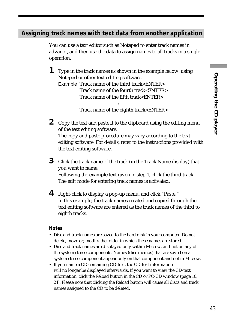# **Assigning track names with text data from another application**

You can use a text editor such as Notepad to enter track names in advance, and then use the data to assign names to all tracks in a single operation.

**1** Type in the track names as shown in the example below, using Notepad or other text editing software.

Example Track name of the third track<ENTER> Track name of the fourth track<ENTER> Track name of the fifth track<ENTER>

:

Track name of the eighth track<ENTER>

**2** Copy the text and paste it to the clipboard using the editing menu of the text editing software. The copy and paste procedure may vary according to the text

editing software. For details, refer to the instructions provided with the text editing software.

- **3** Click the track name of the track (in the Track Name display) that you want to name. Following the example text given in step 1, click the third track. The edit mode for entering track names is activated.
- **4** Right-click to display a pop-up menu, and click "Paste." In this example, the track names created and copied through the text editing software are entered as the track names of the third to eighth tracks.

#### **Notes**

- Disc and track names are saved to the hard disk in your computer. Do not delete, move or, modify the folder in which these names are stored.
- Disc and track names are displayed only within M-crew, and not on any of the system stereo components. Names (disc memos) that are saved on a system stereo component appear only on that component and not in M-crew.
- If you name a CD containing CD-text, the CD-text information will no longer be displayed afterwards. If you want to view the CD-text information, click the Reload button in the CD or PC-CD window (page 10, 24). Please note that clicking the Reload button will cause all discs and track names assigned to the CD to be deleted.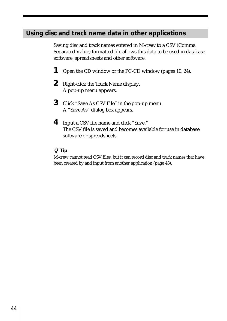# **Using disc and track name data in other applications**

Saving disc and track names entered in M-crew to a CSV (Comma Separated Value) formatted file allows this data to be used in database software, spreadsheets and other software.

- **1** Open the CD window or the PC-CD window (pages 10, 24).
- **2** Right-click the Track Name display. A pop-up menu appears.
- **3** Click "Save As CSV File" in the pop-up menu. A "Save As" dialog box appears.
- **4** Input a CSV file name and click "Save." The CSV file is saved and becomes available for use in database software or spreadsheets.

# z **Tip**

M-crew cannot read CSV files, but it can record disc and track names that have been created by and input from another application (page 43).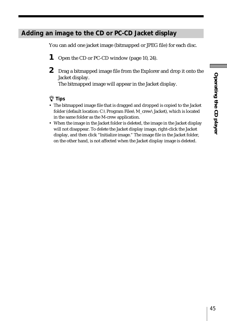# **Adding an image to the CD or PC-CD Jacket display**

You can add one jacket image (bitmapped or JPEG file) for each disc.

- **1** Open the CD or PC-CD window (page 10, 24).
- **2** Drag a bitmapped image file from the Explorer and drop it onto the Jacket display.

The bitmapped image will appear in the Jacket display.

# z **Tips**

- The bitmapped image file that is dragged and dropped is copied to the Jacket folder (default location: C:\Program Files\M\_crew\Jacket), which is located in the same folder as the M-crew application.
- When the image in the Jacket folder is deleted, the image in the Jacket display will not disappear. To delete the Jacket display image, right-click the Jacket display, and then click "Initialize image." The image file in the Jacket folder, on the other hand, is not affected when the Jacket display image is deleted.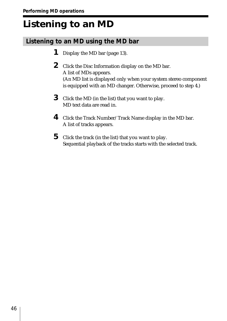# **Listening to an MD**

# **Listening to an MD using the MD bar**

- **1** Display the MD bar (page 13).
- **2** Click the Disc Information display on the MD bar. A list of MDs appears. (An MD list is displayed only when your system stereo component is equipped with an MD changer. Otherwise, proceed to step 4.)
- **3** Click the MD (in the list) that you want to play. MD text data are read in.
- **4** Click the Track Number/Track Name display in the MD bar. A list of tracks appears.
- **5** Click the track (in the list) that you want to play. Sequential playback of the tracks starts with the selected track.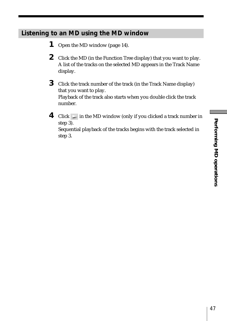# **Listening to an MD using the MD window**

- **1** Open the MD window (page 14).
- **2** Click the MD (in the Function Tree display) that you want to play. A list of the tracks on the selected MD appears in the Track Name display.
- **3** Click the track number of the track (in the Track Name display) that you want to play. Playback of the track also starts when you double click the track number.
- **4** Click in the MD window (only if you clicked a track number in step 3). Sequential playback of the tracks begins with the track selected in step 3.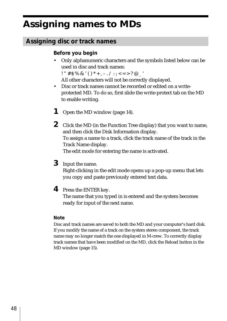# **Assigning names to MDs**

# **Assigning disc or track names**

# **Before you begin**

• Only alphanumeric characters and the symbols listed below can be used in disc and track names:

! "  $\# S \% \& ( )^* +, -, / : ; < = > ? @$ 

All other characters will not be correctly displayed.

- Disc or track names cannot be recorded or edited on a writeprotected MD. To do so, first slide the write-protect tab on the MD to enable writing.
- **1** Open the MD window (page 14).
- **2** Click the MD (in the Function Tree display) that you want to name, and then click the Disk Information display. To assign a name to a track, click the track name of the track in the Track Name display. The edit mode for entering the name is activated.

**3** Input the name.

Right-clicking in the edit mode opens up a pop-up menu that lets you copy and paste previously entered text data.

**4** Press the ENTER key.

The name that you typed in is entered and the system becomes ready for input of the next name.

#### **Note**

Disc and track names are saved to both the MD and your computer's hard disk. If you modify the name of a track on the system stereo component, the track name may no longer match the one displayed in M-crew. To correctly display track names that have been modified on the MD, click the Reload button in the MD window (page 15).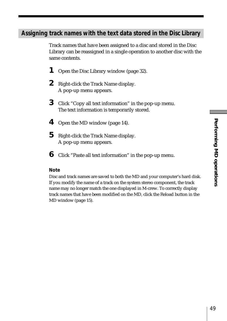# **Assigning track names with the text data stored in the Disc Library**

Track names that have been assigned to a disc and stored in the Disc Library can be reassigned in a single operation to another disc with the same contents.

- **1** Open the Disc Library window (page 32).
- **2** Right-click the Track Name display. A pop-up menu appears.
- **3** Click "Copy all text information" in the pop-up menu. The text information is temporarily stored.
- **4** Open the MD window (page 14).
- **5** Right-click the Track Name display. A pop-up menu appears.
- **6** Click "Paste all text information" in the pop-up menu.

#### **Note**

Disc and track names are saved to both the MD and your computer's hard disk. If you modify the name of a track on the system stereo component, the track name may no longer match the one displayed in M-crew. To correctly display track names that have been modified on the MD, click the Reload button in the MD window (page 15).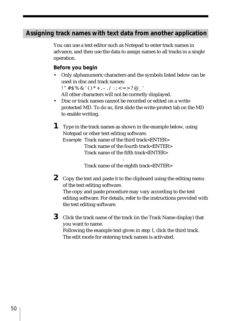# **Assigning track names with text data from another application**

You can use a text editor such as Notepad to enter track names in advance, and then use the data to assign names to all tracks in a single operation.

#### **Before you begin**

• Only alphanumeric characters and the symbols listed below can be used in disc and track names:

 $!$  "  $*$   $S$  %  $\&$  ' ( )  $*$  +  $-$  . / : : < = > ? @

All other characters will not be correctly displayed.

- Disc or track names cannot be recorded or edited on a writeprotected MD. To do so, first slide the write-protect tab on the MD to enable writing.
- **1** Type in the track names as shown in the example below, using Notepad or other text editing software.

Example Track name of the third track<ENTER> Track name of the fourth track<ENTER> Track name of the fifth track<ENTER>

:

Track name of the eighth track<ENTER>

**2** Copy the text and paste it to the clipboard using the editing menu of the text editing software.

The copy and paste procedure may vary according to the text editing software. For details, refer to the instructions provided with the text editing software.

**3** Click the track name of the track (in the Track Name display) that you want to name. Following the example text given in step 1, click the third track. The edit mode for entering track names is activated.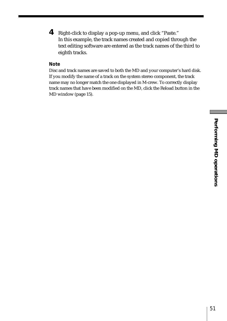**4** Right-click to display a pop-up menu, and click "Paste." In this example, the track names created and copied through the text editing software are entered as the track names of the third to eighth tracks.

#### **Note**

Disc and track names are saved to both the MD and your computer's hard disk. If you modify the name of a track on the system stereo component, the track name may no longer match the one displayed in M-crew. To correctly display track names that have been modified on the MD, click the Reload button in the MD window (page 15).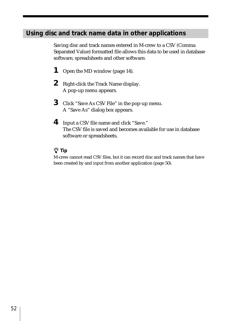# **Using disc and track name data in other applications**

Saving disc and track names entered in M-crew to a CSV (Comma Separated Value) formatted file allows this data to be used in database software, spreadsheets and other software.

- **1** Open the MD window (page 14).
- **2** Right-click the Track Name display. A pop-up menu appears.
- **3** Click "Save As CSV File" in the pop-up menu. A "Save As" dialog box appears.
- **4** Input a CSV file name and click "Save." The CSV file is saved and becomes available for use in database software or spreadsheets.

# z **Tip**

M-crew cannot read CSV files, but it can record disc and track names that have been created by and input from another application (page 50).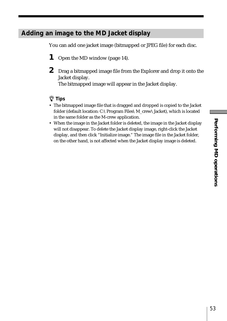# **Adding an image to the MD Jacket display**

You can add one jacket image (bitmapped or JPEG file) for each disc.

- **1** Open the MD window (page 14).
- **2** Drag a bitmapped image file from the Explorer and drop it onto the Jacket display.

The bitmapped image will appear in the Jacket display.

## z **Tips**

- The bitmapped image file that is dragged and dropped is copied to the Jacket folder (default location: C:\Program Files\M\_crew\Jacket), which is located in the same folder as the M-crew application.
- When the image in the Jacket folder is deleted, the image in the Jacket display will not disappear. To delete the Jacket display image, right-click the Jacket display, and then click "Initialize image." The image file in the Jacket folder, on the other hand, is not affected when the Jacket display image is deleted.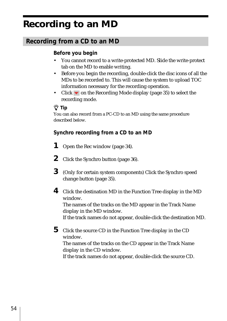# **Recording to an MD**

# **Recording from a CD to an MD**

# **Before you begin**

- You cannot record to a write-protected MD. Slide the write-protect tab on the MD to enable writing.
- Before you begin the recording, double-click the disc icons of all the MDs to be recorded to. This will cause the system to upload TOC information necessary for the recording operation.
- Click  $\blacktriangledown$  on the Recording Mode display (page 35) to select the recording mode.

# z **Tip**

You can also record from a PC-CD to an MD using the same procedure described below.

# **Synchro recording from a CD to an MD**

- **1** Open the Rec window (page 34).
- **2** Click the Synchro button (page 36).
- **3** (Only for certain system components) Click the Synchro speed change button (page 35).
- **4** Click the destination MD in the Function Tree display in the MD window.

The names of the tracks on the MD appear in the Track Name display in the MD window.

If the track names do not appear, double-click the destination MD.

**5** Click the source CD in the Function Tree display in the CD window. The names of the tracks on the CD appear in the Track Name display in the CD window. If the track names do not appear, double-click the source CD.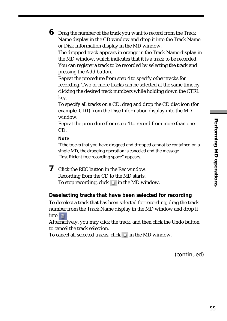**6** Drag the number of the track you want to record from the Track Name display in the CD window and drop it into the Track Name or Disk Information display in the MD window. The dropped track appears in orange in the Track Name display in the MD window, which indicates that it is a track to be recorded. You can register a track to be recorded by selecting the track and pressing the Add button. Repeat the procedure from step 4 to specify other tracks for

recording. Two or more tracks can be selected at the same time by clicking the desired track numbers while holding down the CTRL key.

To specify all tracks on a CD, drag and drop the CD disc icon (for example, CD1) from the Disc Information display into the MD window.

Repeat the procedure from step 4 to record from more than one CD.

#### **Note**

If the tracks that you have dragged and dropped cannot be contained on a single MD, the dragging operation is canceled and the message "Insufficient free recording space" appears.

**7** Click the REC button in the Rec window. Recording from the CD to the MD starts. To stop recording, click  $\Box$  in the MD window.

#### **Deselecting tracks that have been selected for recording**

To deselect a track that has been selected for recording, drag the track number from the Track Name display in the MD window and drop it into  $\frac{1}{m}$ 

Alternatively, you may click the track, and then click the Undo button to cancel the track selection.

To cancel all selected tracks, click  $\Box$  in the MD window.

(continued)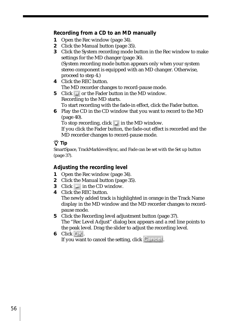#### **Recording from a CD to an MD manually**

- **1** Open the Rec window (page 34).
- **2** Click the Manual button (page 35).
- **3** Click the System recording mode button in the Rec window to make settings for the MD changer (page 36). (System recording mode button appears only when your system stereo component is equipped with an MD changer. Otherwise, proceed to step 4.)
- **4** Click the REC button. The MD recorder changes to record-pause mode.
- **5** Click  $\Box$  or the Fader button in the MD window. Recording to the MD starts.

To start recording with the fade-in effect, click the Fader button.

**6** Play the CD in the CD window that you want to record to the MD (page 40).

To stop recording, click  $\Box$  in the MD window.

If you click the Fader button, the fade-out effect is recorded and the MD recorder changes to record-pause mode.

## z **Tip**

SmartSpace, TrackMarklevelSync, and Fade can be set with the Set up button (page 37).

## **Adjusting the recording level**

- **1** Open the Rec window (page 34).
- **2** Click the Manual button (page 35).
- **3** Click in the CD window.
- **4** Click the REC button.

The newly added track is highlighted in orange in the Track Name display in the MD window and the MD recorder changes to recordpause mode.

- **5** Click the Recording level adjustment button (page 37). The "Rec Level Adjust" dialog box appears and a red line points to the peak level. Drag the slider to adjust the recording level.
- **6** Click OK.

If you want to cancel the setting, click  $\Box$  and  $\Box$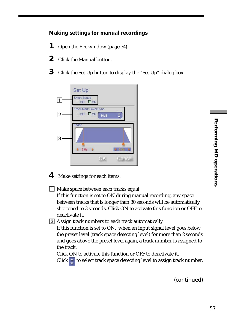# **Making settings for manual recordings**

- **1** Open the Rec window (page 34).
- **2** Click the Manual button.
- **3** Click the Set Up button to display the "Set Up" dialog box.



- **4** Make settings for each items.
- 1 Make space between each tracks equal
	- If this function is set to ON during manual recording, any space between tracks that is longer than 30 seconds will be automatically shortened to 3 seconds. Click ON to activate this function or OFF to deactivate it.
- 2 Assign track numbers to each track automatically If this function is set to ON, when an input signal level goes below the preset level (track space detecting level) for more than 2 seconds and goes above the preset level again, a track number is assigned to the track.

Click ON to activate this function or OFF to deactivate it.

Click  $\div$  to select track space detecting level to assign track number.

(continued)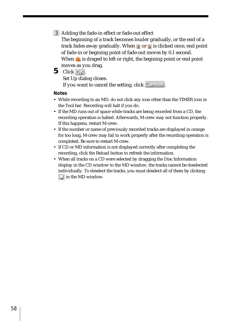3 Adding the fade-in effect or fade-out effect

The beginning of a track becomes louder gradually, or the end of a track fades away gradually. When  $\triangle$  or  $\triangleright$  is clicked once, end point of fade-in or begining point of fade-out moves by 0.1 second. When  $\triangle$  is draged to left or right, the begining point or end point moves as you drag.

**5** Click OK.

Set Up dialog closes. If you want to cancel the setting, click Cancel

#### **Notes**

- While recording to an MD, do not click any icon other than the TIMER icon in the Tool bar. Recording will halt if you do.
- If the MD runs out of space while tracks are being recorded from a CD, the recording operation is halted. Afterwards, M-crew may not function properly. If this happens, restart M-crew.
- If the number or name of previously recorded tracks are displayed in orange for too long, M-crew may fail to work properly after the recording operation is completed. Be sure to restart M-crew.
- If CD or MD information is not displayed correctly after completing the recording, click the Reload button to refresh the information.
- When all tracks on a CD were selected by dragging the Disc Information display in the CD window to the MD window, the tracks cannot be deselected individually. To deselect the tracks, you must deselect all of them by clicking  $\Box$  in the MD window.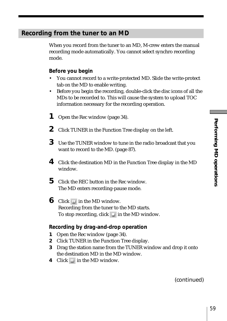# **Recording from the tuner to an MD**

When you record from the tuner to an MD, M-crew enters the manual recording mode automatically. You cannot select synchro recording mode.

#### **Before you begin**

- You cannot record to a write-protected MD. Slide the write-protect tab on the MD to enable writing.
- Before you begin the recording, double-click the disc icons of all the MDs to be recorded to. This will cause the system to upload TOC information necessary for the recording operation.
- **1** Open the Rec window (page 34).
- **2** Click TUNER in the Function Tree display on the left.
- **3** Use the TUNER window to tune in the radio broadcast that you want to record to the MD. (page 87).
- **4** Click the destination MD in the Function Tree display in the MD window.
- **5** Click the REC button in the Rec window. The MD enters recording-pause mode.
- **6** Click **u** in the MD window. Recording from the tuner to the MD starts. To stop recording, click  $\Box$  in the MD window.

#### **Recording by drag-and-drop operation**

- **1** Open the Rec window (page 34).
- **2** Click TUNER in the Function Tree display.
- **3** Drag the station name from the TUNER window and drop it onto the destination MD in the MD window.
- **4** Click **II** in the MD window.

(continued)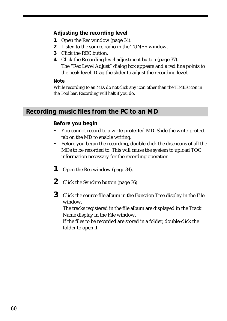#### **Adjusting the recording level**

- **1** Open the Rec window (page 34).
- **2** Listen to the source radio in the TUNER window.
- **3** Click the REC button.
- **4** Click the Recording level adjustment button (page 37). The "Rec Level Adjust" dialog box appears and a red line points to the peak level. Drag the slider to adjust the recording level.

#### **Note**

While recording to an MD, do not click any icon other than the TIMER icon in the Tool bar. Recording will halt if you do.

# **Recording music files from the PC to an MD**

#### **Before you begin**

- You cannot record to a write-protected MD. Slide the write-protect tab on the MD to enable writing.
- Before you begin the recording, double-click the disc icons of all the MDs to be recorded to. This will cause the system to upload TOC information necessary for the recording operation.
- **1** Open the Rec window (page 34).
- **2** Click the Synchro button (page 36).
- **3** Click the source file album in the Function Tree display in the File window.

The tracks registered in the file album are displayed in the Track Name display in the File window.

If the files to be recorded are stored in a folder, double-click the folder to open it.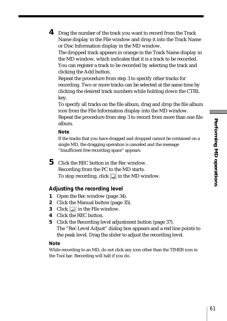**4** Drag the number of the track you want to record from the Track Name display in the File window and drop it into the Track Name or Disc Information display in the MD window. The dropped track appears in orange in the Track Name display in the MD window, which indicates that it is a track to be recorded. You can register a track to be recorded by selecting the track and clicking the Add button. Repeat the procedure from step 3 to specify other tracks for

recording. Two or more tracks can be selected at the same time by clicking the desired track numbers while holding down the CTRL key.

To specify all tracks on the file album, drag and drop the file album icon from the File Information display into the MD window.

Repeat the procedure from step 3 to record from more than one file album.

#### **Note**

If the tracks that you have dragged and dropped cannot be contained on a single MD, the dragging operation is canceled and the message "Insufficient free recording space" appears.

**5** Click the REC button in the Rec window. Recording from the PC to the MD starts. To stop recording, click  $\Box$  in the MD window.

#### **Adjusting the recording level**

- **1** Open the Rec window (page 34).
- **2** Click the Manual button (page 35).
- **3** Click in the File window.
- **4** Click the REC button.
- **5** Click the Recording level adjustment button (page 37). The "Rec Level Adjust" dialog box appears and a red line points to the peak level. Drag the slider to adjust the recording level.

#### **Note**

While recording to an MD, do not click any icon other than the TIMER icon in the Tool bar. Recording will halt if you do.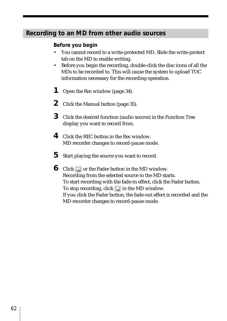# **Recording to an MD from other audio sources**

# **Before you begin**

- You cannot record to a write-protected MD. Slide the write-protect tab on the MD to enable writing.
- Before you begin the recording, double-click the disc icons of all the MDs to be recorded to. This will cause the system to upload TOC information necessary for the recording operation.
- **1** Open the Rec window (page 34).
- **2** Click the Manual button (page 35).
- **3** Click the desired function (audio source) in the Function Tree display you want to record from.
- **4** Click the REC button in the Rec window. MD recorder changes to record-pause mode.
- **5** Start playing the source you want to record.
- **6** Click  $\blacksquare$  or the Fader button in the MD window. Recording from the selected source to the MD starts. To start recording with the fade-in effect, click the Fader button. To stop recording, click  $\Box$  in the MD window. If you click the Fader button, the fade-out effect is recorded and the MD recorder changes to record-pause mode.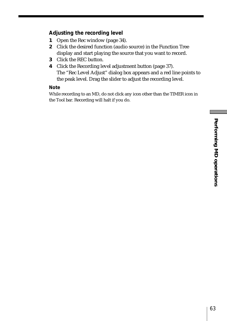# Performing MD operations **Performing MD operations**

## **Adjusting the recording level**

- **1** Open the Rec window (page 34).
- **2** Click the desired function (audio source) in the Function Tree display and start playing the source that you want to record.
- **3** Click the REC button.
- **4** Click the Recording level adjustment button (page 37). The "Rec Level Adjust" dialog box appears and a red line points to the peak level. Drag the slider to adjust the recording level.

#### **Note**

While recording to an MD, do not click any icon other than the TIMER icon in the Tool bar. Recording will halt if you do.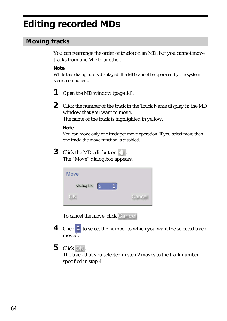# **Editing recorded MDs**

# **Moving tracks**

You can rearrange the order of tracks on an MD, but you cannot move tracks from one MD to another.

#### **Note**

While this dialog box is displayed, the MD cannot be operated by the system stereo component.

- **1** Open the MD window (page 14).
- **2** Click the number of the track in the Track Name display in the MD window that you want to move. The name of the track is highlighted in yellow.

#### **Note**

You can move only one track per move operation. If you select more than one track, the move function is disabled.

# **3** Click the MD edit button  $\blacksquare$ .

The "Move" dialog box appears.

| Move       |              |        |
|------------|--------------|--------|
| Moving No. | $\mathbf{z}$ |        |
| OK         |              | Cancel |

To cancel the move, click Cancel.

- **4** Click  $\div$  to select the number to which you want the selected track moved.
- **5** Click OK.

The track that you selected in step 2 moves to the track number specified in step 4.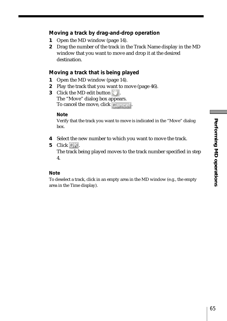#### **Moving a track by drag-and-drop operation**

- **1** Open the MD window (page 14).
- **2** Drag the number of the track in the Track Name display in the MD window that you want to move and drop it at the desired destination.

#### **Moving a track that is being played**

- **1** Open the MD window (page 14).
- **2** Play the track that you want to move (page 46).
- **3** Click the MD edit button The "Move" dialog box appears. To cancel the move, click Cancel

#### **Note**

Verify that the track you want to move is indicated in the "Move" dialog box.

- **4** Select the new number to which you want to move the track.
- **5** Click  $\bigcirc$  K.

The track being played moves to the track number specified in step 4.

#### **Note**

To deselect a track, click in an empty area in the MD window (e.g., the empty area in the Time display).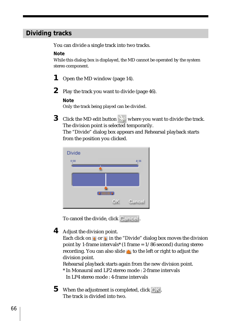# **Dividing tracks**

You can divide a single track into two tracks.

#### **Note**

While this dialog box is displayed, the MD cannot be operated by the system stereo component.

- **1** Open the MD window (page 14).
- **2** Play the track you want to divide (page 46).

#### **Note**

Only the track being played can be divided.

**3** Click the MD edit button where you want to divide the track. The division point is selected temporarily.

The "Divide" dialog box appears and Rehearsal playback starts from the position you clicked.



To cancel the divide, click Cancel.

**4** Adjust the division point.

Each click on  $\triangle$  or  $\triangleright$  in the "Divide" dialog box moves the division point by 1-frame intervals<sup>\*</sup> (1 frame  $= 1/86$  second) during stereo recording. You can also slide  $\triangle$  to the left or right to adjust the division point.

Rehearsal playback starts again from the new division point.

- \* In Monaural and LP2 stereo mode : 2-frame intervals In LP4 stereo mode : 4-frame intervals
- **5** When the adjustment is completed, click  $\overline{OK}$ . The track is divided into two.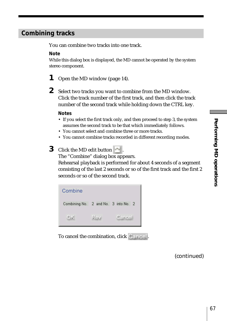# **Combining tracks**

You can combine two tracks into one track.

#### **Note**

While this dialog box is displayed, the MD cannot be operated by the system stereo component.

- **1** Open the MD window (page 14).
- **2** Select two tracks you want to combine from the MD window. Click the track number of the first track, and then click the track number of the second track while holding down the CTRL key.

#### **Notes**

- If you select the first track only, and then proceed to step 3, the system assumes the second track to be that which immediately follows.
- You cannot select and combine three or more tracks.
- You cannot combine tracks recorded in different recording modes.

# **3** Click the MD edit button

The "Combine" dialog box appears.

Rehearsal playback is performed for about 4 seconds of a segment consisting of the last 2 seconds or so of the first track and the first 2 seconds or so of the second track.



To cancel the combination, click Cancel.

(continued)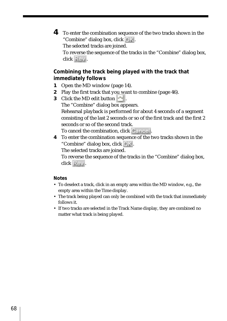**4** To enter the combination sequence of the two tracks shown in the "Combine" dialog box, click OK.

The selected tracks are joined.

To reverse the sequence of the tracks in the "Combine" dialog box, click Rev.

# **Combining the track being played with the track that immediately follows**

- **1** Open the MD window (page 14).
- **2** Play the first track that you want to combine (page 46).
- **3** Click the MD edit button ...

The "Combine" dialog box appears.

Rehearsal playback is performed for about 4 seconds of a segment consisting of the last 2 seconds or so of the first track and the first 2 seconds or so of the second track.

To cancel the combination, click Cancel.

**4** To enter the combination sequence of the two tracks shown in the "Combine" dialog box, click .

The selected tracks are joined.

To reverse the sequence of the tracks in the "Combine" dialog box, click Rev.

#### **Notes**

- To deselect a track, click in an empty area within the MD window, e.g., the empty area within the Time display.
- The track being played can only be combined with the track that immediately follows it.
- If two tracks are selected in the Track Name display, they are combined no matter what track is being played.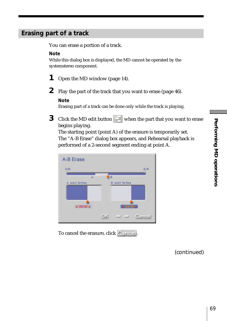# **Erasing part of a track**

You can erase a portion of a track.

#### **Note**

While this dialog box is displayed, the MD cannot be operated by the systemstereo component.

- **1** Open the MD window (page 14).
- **2** Play the part of the track that you want to erase (page 46).

#### **Note**

Erasing part of a track can be done only while the track is playing.

**3** Click the MD edit button when the part that you want to erase begins playing.

The starting point (point A) of the erasure is temporarily set. The "A-B Erase" dialog box appears, and Rehearsal playback is performed of a 2-second segment ending at point A.



To cancel the erasure, click Cancel.

(continued)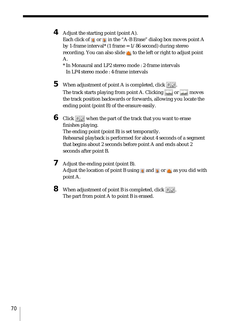**4** Adjust the starting point (point A).

Each click of  $\triangle$  or  $\triangleright$  in the "A-B Erase" dialog box moves point A by 1-frame interval\* (1 frame  $= 1/86$  second) during stereo recording. You can also slide  $\triangle$  to the left or right to adjust point A.

\* In Monaural and LP2 stereo mode : 2-frame intervals In LP4 stereo mode : 4-frame intervals

- **5** When adjustment of point A is completed, click  $\overline{OK}$ . The track starts playing from point A. Clicking  $\bullet$  or  $\bullet$  moves the track position backwards or forwards, allowing you locate the ending point (point B) of the erasure easily.
- **6** Click OK when the part of the track that you want to erase finishes playing. The ending point (point B) is set temporarily. Rehearsal playback is performed for about 4 seconds of a segment that begins about 2 seconds before point A and ends about 2 seconds after point B.
- **7** Adjust the ending point (point B). Adjust the location of point B using  $\triangle$  and  $\triangle$  or  $\triangle$  as you did with point A.
- **8** When adjustment of point B is completed, click OK. The part from point A to point B is erased.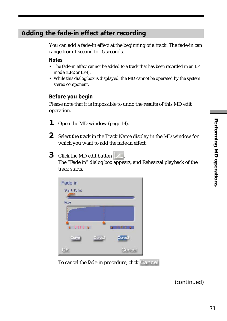# **Adding the fade-in effect after recording**

You can add a fade-in effect at the beginning of a track. The fade-in can range from 1 second to 15 seconds.

#### **Notes**

- The fade-in effect cannot be added to a track that has been recorded in an LP mode (LP2 or LP4).
- While this dialog box is displayed, the MD cannot be operated by the system stereo component.

#### **Before you begin**

Please note that it is impossible to undo the results of this MD edit operation.

- **1** Open the MD window (page 14).
- **2** Select the track in the Track Name display in the MD window for which you want to add the fade-in effect.
- **3** Click the MD edit button

The "Fade in" dialog box appears, and Rehearsal playback of the track starts.



To cancel the fade-in procedure, click Cancel.

(continued)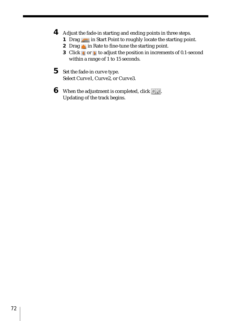- **4** Adjust the fade-in starting and ending points in three steps.
	- **1** Drag in Start Point to roughly locate the starting point.
	- **2** Drag in Rate to fine-tune the starting point.
	- **3** Click **o**r **t** to adjust the position in increments of 0.1-second within a range of 1 to 15 seconds.
- **5** Set the fade-in curve type. Select Curve1, Curve2, or Curve3.
- **6** When the adjustment is completed, click  $\overline{O|}$ . Updating of the track begins.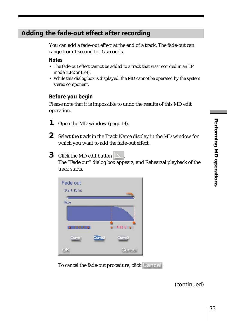## **Adding the fade-out effect after recording**

You can add a fade-out effect at the end of a track. The fade-out can range from 1 second to 15 seconds.

#### **Notes**

- The fade-out effect cannot be added to a track that was recorded in an LP mode (LP2 or LP4).
- While this dialog box is displayed, the MD cannot be operated by the system stereo component.

### **Before you begin**

Please note that it is impossible to undo the results of this MD edit operation.

- **1** Open the MD window (page 14).
- **2** Select the track in the Track Name display in the MD window for which you want to add the fade-out effect.
- **3** Click the MD edit button

The "Fade out" dialog box appears, and Rehearsal playback of the track starts.



To cancel the fade-out procedure, click Cancel.

(continued)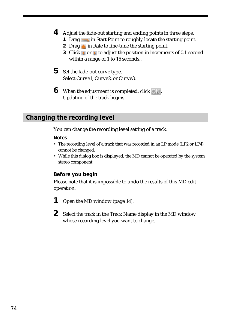- **4** Adjust the fade-out starting and ending points in three steps.
	- **1** Drag **in** Start Point to roughly locate the starting point.
	- **2** Drag in Rate to fine-tune the starting point.
	- **3** Click **or** to adjust the position in increments of 0.1-second within a range of 1 to 15 seconds..
- **5** Set the fade-out curve type. Select Curve1, Curve2, or Curve3.
- **6** When the adjustment is completed, click  $\bigcirc$   $\mathbf{k}$ . Updating of the track begins.

## **Changing the recording level**

You can change the recording level setting of a track.

### **Notes**

- The recording level of a track that was recorded in an LP mode (LP2 or LP4) cannot be changed.
- While this dialog box is displayed, the MD cannot be operated by the system stereo component.

## **Before you begin**

Please note that it is impossible to undo the results of this MD edit operation.

- **1** Open the MD window (page 14).
- **2** Select the track in the Track Name display in the MD window whose recording level you want to change.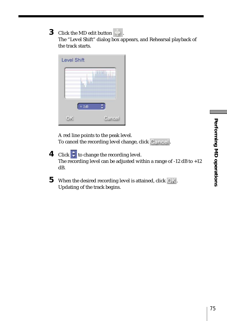The "Level Shift" dialog box appears, and Rehearsal playback of the track starts.

| <b>Level Shift</b> |        |
|--------------------|--------|
|                    |        |
|                    | 2dB    |
|                    | Cancel |

A red line points to the peak level. To cancel the recording level change, click Cancel.

- **4** Click  $\div$  to change the recording level. The recording level can be adjusted within a range of -12 dB to +12 dB.
- **5** When the desired recording level is attained, click OK. Updating of the track begins.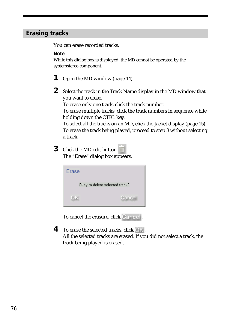## **Erasing tracks**

You can erase recorded tracks.

#### **Note**

While this dialog box is displayed, the MD cannot be operated by the systemstereo component.

- **1** Open the MD window (page 14).
- **2** Select the track in the Track Name display in the MD window that you want to erase.

To erase only one track, click the track number.

To erase multiple tracks, click the track numbers in sequence while holding down the CTRL key.

To select all the tracks on an MD, click the Jacket display (page 15). To erase the track being played, proceed to step 3 without selecting a track.

**3** Click the MD edit button  $\overline{||||}$ The "Erase" dialog box appears.

| Erase                          |        |
|--------------------------------|--------|
| Okey to delete selected track? |        |
|                                | Cancel |

To cancel the erasure, click Cancel.

**4** To erase the selected tracks, click  $\bigcirc$  K.

All the selected tracks are erased. If you did not select a track, the track being played is erased.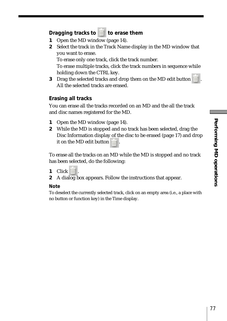## **Dragging tracks to <b>the** to erase them

- **1** Open the MD window (page 14).
- **2** Select the track in the Track Name display in the MD window that you want to erase.

To erase only one track, click the track number.

To erase multiple tracks, click the track numbers in sequence while holding down the CTRL key.

**3** Drag the selected tracks and drop them on the MD edit button . All the selected tracks are erased.

### **Erasing all tracks**

You can erase all the tracks recorded on an MD and the all the track and disc names registered for the MD.

- **1** Open the MD window (page 14).
- **2** While the MD is stopped and no track has been selected, drag the Disc Information display of the disc to be erased (page 17) and drop it on the MD edit button  $\frac{1}{\ln 2}$

To erase all the tracks on an MD while the MD is stopped and no track has been selected, do the following:

- **1** Click  $\overline{\mathbf{m}}$ .
- **2** A dialog box appears. Follow the instructions that appear.

#### **Note**

To deselect the currently selected track, click on an empty area (i.e., a place with no button or function key) in the Time display.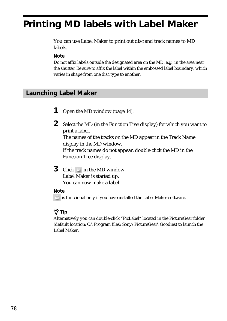# **Printing MD labels with Label Maker**

You can use Label Maker to print out disc and track names to MD labels.

### **Note**

Do not affix labels outside the designated area on the MD, e.g., in the area near the shutter. Be sure to affix the label within the embossed label boundary, which varies in shape from one disc type to another.

## **Launching Label Maker**

- **1** Open the MD window (page 14).
- **2** Select the MD (in the Function Tree display) for which you want to print a label. The names of the tracks on the MD appear in the Track Name display in the MD window. If the track names do not appear, double-click the MD in the Function Tree display.
- **3** Click **in** the MD window. Label Maker is started up. You can now make a label.

### **Note**

is functional only if you have installed the Label Maker software.

## z **Tip**

Alternatively you can double-click "PicLabel" located in the PictureGear folder (default location: C:\Program files\Sony\PictureGear\Goodies) to launch the Label Maker.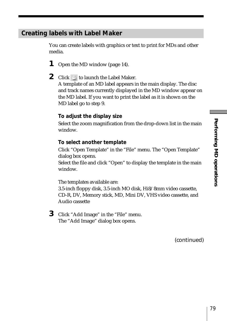## **Creating labels with Label Maker**

You can create labels with graphics or text to print for MDs and other media.

- **1** Open the MD window (page 14).
- **2** Click **E** to launch the Label Maker. A template of an MD label appears in the main display. The disc and track names currently displayed in the MD window appear on the MD label. If you want to print the label as it is shown on the MD label go to step 9.

## **To adjust the display size**

Select the zoom magnification from the drop-down list in the main window.

### **To select another template**

Click "Open Template" in the "File" menu. The "Open Template" dialog box opens.

Select the file and click "Open" to display the template in the main window.

The templates available are:

3.5-inch floppy disk, 3.5-inch MO disk, Hi8/8mm video cassette, CD-R, DV, Memory stick, MD, Mini DV, VHS video cassette, and Audio cassette

**3** Click "Add Image" in the "File" menu. The "Add Image" dialog box opens.

(continued)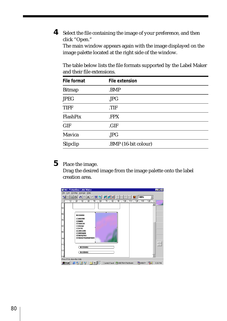**4** Select the file containing the image of your preference, and then click "Open."

The main window appears again with the image displayed on the image palette located at the right side of the window.

The table below lists the file formats supported by the Label Maker and their file extensions.

| File format   | File extension       |  |
|---------------|----------------------|--|
| <b>Bitmap</b> | .BMP                 |  |
| <b>JPEG</b>   | JPG                  |  |
| <b>TIFF</b>   | .TIF                 |  |
| FlashPix      | <b>FPX</b>           |  |
| <b>GIF</b>    | .GIF                 |  |
| Mavica        | .JPG                 |  |
| Slipclip      | .BMP (16-bit colour) |  |

# **5** Place the image.

Drag the desired image from the image palette onto the label creation area.

| Md - PictureGear Label Maker<br>Edit<br>Overlap<br>File<br>Arrange Help                                                                                                                                                                                          | $\blacksquare$ $\blacksquare$ $\times$ |
|------------------------------------------------------------------------------------------------------------------------------------------------------------------------------------------------------------------------------------------------------------------|----------------------------------------|
| A A 2 3 8 8 2 2 3 ÷<br>區<br>米金<br>100%<br>lG<br>31                                                                                                                                                                                                               |                                        |
| . 10. .<br>30<br>.7090.<br>. 90.<br>100<br>.120130.<br>. 140.<br>119                                                                                                                                                                                             |                                        |
| <b>Build Religions</b><br><b>T. Anov Pole</b><br>2. ekgivar<br>3. Centrol: Alf<br>4. Enterance<br><b>B. Abroam</b><br>D. Gravis Grafi<br>7. Diseminant<br><b>J. Hitching Time</b><br>0. Halofcal Presentingly Fighter<br>to et fei re fan<br><b>Said ENFORCE</b> |                                        |
|                                                                                                                                                                                                                                                                  |                                        |
| Press F1 to show the Help                                                                                                                                                                                                                                        |                                        |
| <b>Bistant   @ &amp; Ø V   O M. 100</b><br>Haddon Had<br>Control Panel & Add New Hardware<br>9:30 PM                                                                                                                                                             |                                        |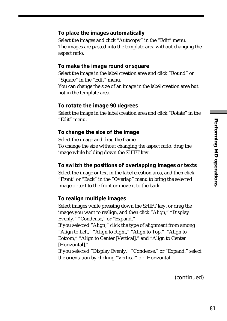### **To place the images automatically**

Select the images and click "Autocopy" in the "Edit" menu. The images are pasted into the template area without changing the aspect ratio.

#### **To make the image round or square**

Select the image in the label creation area and click "Round" or "Square" in the "Edit" menu.

You can change the size of an image in the label creation area but not in the template area.

#### **To rotate the image 90 degrees**

Select the image in the label creation area and click "Rotate" in the "Edit" menu.

### **To change the size of the image**

Select the image and drag the frame. To change the size without changing the aspect ratio, drag the image while holding down the SHIFT key.

### **To switch the positions of overlapping images or texts**

Select the image or text in the label creation area, and then click "Front" or "Back" in the "Overlap" menu to bring the selected image or text to the front or move it to the back.

### **To realign multiple images**

Select images while pressing down the SHIFT key, or drag the images you want to realign, and then click "Align," "Display Evenly," "Condense," or "Expand."

If you selected "Align," click the type of alignment from among "Align to Left," "Align to Right," "Align to Top," "Align to Bottom," "Align to Center [Vertical]," and "Align to Center [Horizontal]."

If you selected "Display Evenly," "Condense," or "Expand," select the orientation by clicking "Vertical" or "Horizontal."

(continued)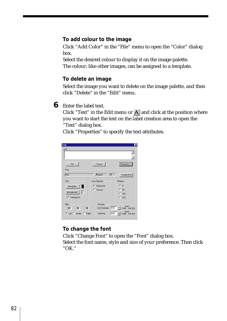## **To add colour to the image**

Click "Add Color" in the "File" menu to open the "Color" dialog box.

Select the desired colour to display it on the image palette. The colour, like other images, can be assigned to a template.

### **To delete an image**

Select the image you want to delete on the image palette, and then click "Delete" in the "Edit" menu.

**6** Enter the label text.

Click "Text" in the Edit menu or  $A$  and click at the position where you want to start the text on the label creation area to open the "Text" dialog box.

Click "Properties" to specify the text attributes.

| Text                    |                | $\overline{\mathbf{x}}$                       |
|-------------------------|----------------|-----------------------------------------------|
| Text                    |                |                                               |
|                         |                |                                               |
|                         |                | ÷                                             |
| <b>OK</b>               | Cancel         | Properties <<                                 |
| Font                    |                |                                               |
| Arial                   | π<br>Regular   | Change Eont                                   |
| Color                   | Line Direction | Rotation                                      |
| Text Color              | G Horizontal   | $G = 0$                                       |
|                         | C Vertical     | C.90                                          |
| Background              |                | $C$ 180 $-$                                   |
| $\nabla$ Transparent    |                | $C = 270$                                     |
| Align                   | Spacing        |                                               |
| 罩<br>霊<br>丰             |                | point<br>Line Spacing: 0.00 - (0.00 . 100.00) |
| C Left C Center C Right | Spacing        | $\pm$ (0.00  100.00 )<br>0.00                 |

## **To change the font**

Click "Change Font" to open the "Font" dialog box. Select the font name, style and size of your preference. Then click "OK."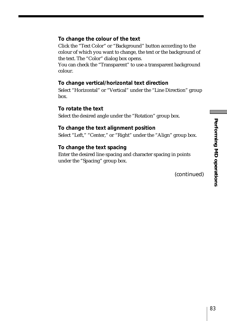## **To change the colour of the text**

Click the "Text Color" or "Background" button according to the colour of which you want to change, the text or the background of the text. The "Color" dialog box opens.

You can check the "Transparent" to use a transparent background colour.

### **To change vertical/horizontal text direction**

Select "Horizontal" or "Vertical" under the "Line Direction" group box.

#### **To rotate the text**

Select the desired angle under the "Rotation" group box.

### **To change the text alignment position**

Select "Left," "Center," or "Right" under the "Align" group box.

### **To change the text spacing**

Enter the desired line spacing and character spacing in points under the "Spacing" group box.

(continued)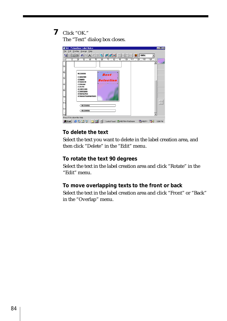# **7** Click "OK."

The "Text" dialog box closes.



## **To delete the text**

Select the text you want to delete in the label creation area, and then click "Delete" in the "Edit" menu.

## **To rotate the text 90 degrees**

Select the text in the label creation area and click "Rotate" in the "Edit" menu.

## **To move overlapping texts to the front or back**

Select the text in the label creation area and click "Front" or "Back" in the "Overlap" menu.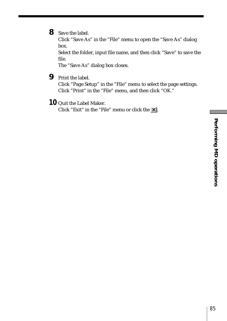## **8** Save the label.

Click "Save As" in the "File" menu to open the "Save As" dialog box.

Select the folder, input file name, and then click "Save" to save the file.

The "Save As" dialog box closes.

**9** Print the label.

Click "Page Setup" in the "File" menu to select the page settings. Click "Print" in the "File" menu, and then click "OK."

**10** Quit the Label Maker.

Click "Exit" in the "File" menu or click the  $\times$ .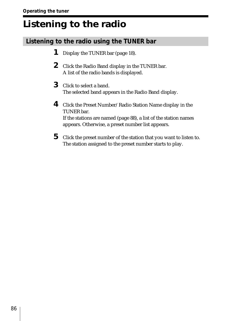# **Listening to the radio**

# **Listening to the radio using the TUNER bar**

- **1** Display the TUNER bar (page 18).
- **2** Click the Radio Band display in the TUNER bar. A list of the radio bands is displayed.
- **3** Click to select a band. The selected band appears in the Radio Band display.
- **4** Click the Preset Number/Radio Station Name display in the TUNER bar. If the stations are named (page 88), a list of the station names appears. Otherwise, a preset number list appears.
- **5** Click the preset number of the station that you want to listen to. The station assigned to the preset number starts to play.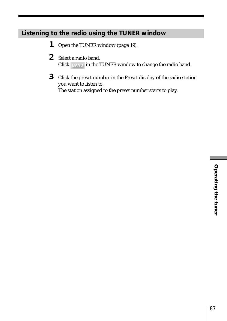# **Listening to the radio using the TUNER window**

- **1** Open the TUNER window (page 19).
- **2** Select a radio band. Click **in the TUNER** window to change the radio band.
- **3** Click the preset number in the Preset display of the radio station you want to listen to.

The station assigned to the preset number starts to play.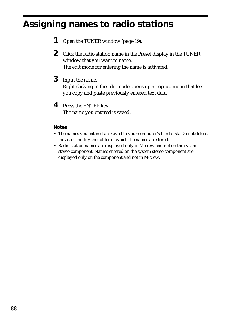# **Assigning names to radio stations**

- **1** Open the TUNER window (page 19).
- **2** Click the radio station name in the Preset display in the TUNER window that you want to name. The edit mode for entering the name is activated.
- **3** Input the name. Right-clicking in the edit mode opens up a pop-up menu that lets you copy and paste previously entered text data.
- **4** Press the ENTER key. The name you entered is saved.

### **Notes**

- The names you entered are saved to your computer's hard disk. Do not delete, move, or modify the folder in which the names are stored.
- Radio station names are displayed only in M-crew and not on the system stereo component. Names entered on the system stereo component are displayed only on the component and not in M-crew.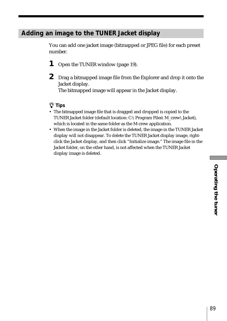# **Adding an image to the TUNER Jacket display**

You can add one jacket image (bitmapped or JPEG file) for each preset number.

- **1** Open the TUNER window (page 19).
- **2** Drag a bitmapped image file from the Explorer and drop it onto the Jacket display.

The bitmapped image will appear in the Jacket display.

## z **Tips**

- The bitmapped image file that is dragged and dropped is copied to the TUNER Jacket folder (default location: C:\Program Files\M\_crew\Jacket), which is located in the same folder as the M-crew application.
- When the image in the Jacket folder is deleted, the image in the TUNER Jacket display will not disappear. To delete the TUNER Jacket display image, rightclick the Jacket display, and then click "Initialize image." The image file in the Jacket folder, on the other hand, is not affected when the TUNER Jacket display image is deleted.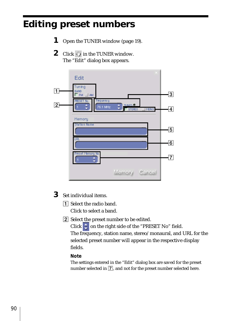# **Editing preset numbers**

- **1** Open the TUNER window (page 19).
- **2** Click  $\Diamond$  in the TUNER window. The "Edit" dialog box appears.



- **3** Set individual items.
	- 1 Select the radio band. Click to select a band.
	- 2 Select the preset number to be edited.

Click  $\div$  on the right side of the "PRESET No" field. The frequency, station name, stereo/monaural, and URL for the selected preset number will appear in the respective display fields.

### **Note**

The settings entered in the "Edit" dialog box are saved for the preset number selected in  $\boxed{7}$ , and not for the preset number selected here.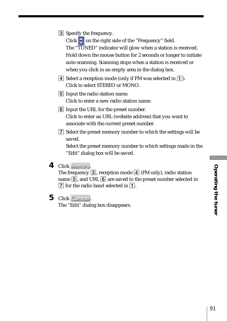3 Specify the frequency.

Click  $\uparrow$  on the right side of the "Frequency" field. The "TUNED" indicator will glow when a station is received. Hold down the mouse button for 2 seconds or longer to initiate auto-scanning. Scanning stops when a station is received or when you click in an empty area in the dialog box.

- $\boxed{4}$  Select a reception mode (only if FM was selected in  $\boxed{1}$ ). Click to select STEREO or MONO.
- **5** Input the radio station name. Click to enter a new radio station name.
- 6 Input the URL for the preset number. Click to enter an URL (website address) that you want to associate with the current preset number.
- 7 Select the preset memory number to which the settings will be saved.

Select the preset memory number to which settings made in the "Edit" dialog box will be saved.

4 Click Memory

The frequency  $\boxed{3}$ , reception mode  $\boxed{4}$  (FM only), radio station name  $\overline{5}$ , and URL  $\overline{6}$  are saved to the preset number selected in  $\overline{7}$  for the radio band selected in  $\overline{1}$ .

5 Click Cancel.

The "Edit" dialog box disappears.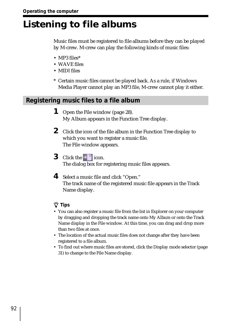# **Listening to file albums**

Music files must be registered to file albums before they can be played by M-crew. M-crew can play the following kinds of music files:

- MP3 files\*
- WAVE files
- MIDI files
- \* Certain music files cannot be played back. As a rule, if Windows Media Player cannot play an MP3 file, M-crew cannot play it either.

## **Registering music files to a file album**

- **1** Open the File window (page 28). My Album appears in the Function Tree display.
- **2** Click the icon of the file album in the Function Tree display to which you want to register a music file. The File window appears.
- **3** Click the  $\pm$  icon. The dialog box for registering music files appears.
- **4** Select a music file and click "Open." The track name of the registered music file appears in the Track Name display.

## z **Tips**

- You can also register a music file from the list in Explorer on your computer by dragging and dropping the track name onto My Album or onto the Track Name display in the File window. At this time, you can drag and drop more than two files at once.
- The location of the actual music files does not change after they have been registered to a file album.
- To find out where music files are stored, click the Display mode selector (page 31) to change to the File Name display.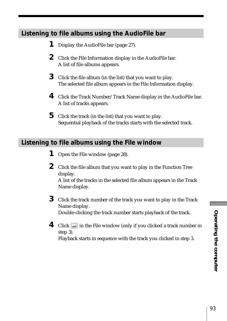# **Listening to file albums using the AudioFile bar**

- **1** Display the AudioFile bar (page 27).
- **2** Click the File Information display in the AudioFile bar. A list of file albums appears.
- **3** Click the file album (in the list) that you want to play. The selected file album appears in the File Information display.
- **4** Click the Track Number/Track Name display in the AudioFile bar. A list of tracks appears.
- **5** Click the track (in the list) that you want to play. Sequential playback of the tracks starts with the selected track.

# **Listening to file albums using the File window**

- **1** Open the File window (page 28).
- **2** Click the file album that you want to play in the Function Tree display.

A list of the tracks in the selected file album appears in the Track Name display.

- **3** Click the track number of the track you want to play in the Track Name display. Double-clicking the track number starts playback of the track.
- **4** Click in the File window (only if you clicked a track number in step 3). Playback starts in sequence with the track you clicked in step 3.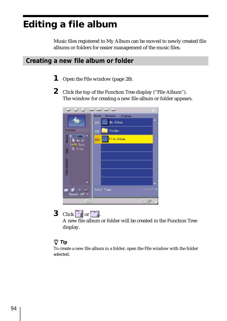# **Editing a file album**

Music files registered to My Album can be moved to newly created file albums or folders for easier management of the music files.

## **Creating a new file album or folder**

- **1** Open the File window (page 28).
- **2** Click the top of the Function Tree display ("File Album"). The window for creating a new file album or folder appears.

|                            |                                  | x       |
|----------------------------|----------------------------------|---------|
|                            | file No.<br>file Name<br>Display |         |
|                            | My Album<br>001                  |         |
| Function                   | Folder<br>002                    |         |
| FileMer<br>My Al<br>И      | File Album<br>003                |         |
| Folc<br><b>E</b> File<br>Ě |                                  |         |
|                            |                                  |         |
| <b>Disc Library</b>        |                                  |         |
|                            |                                  |         |
| 瞒<br>Repeat OFF *          | Total Time:                      |         |
| Ġ,                         |                                  | Q<br>29 |

# **3** Click  $\begin{array}{|c|c|c|}\n\hline\n\end{array}$  or  $\begin{array}{|c|c|}\n\hline\n\end{array}$

A new file album or folder will be created in the Function Tree display.

## z **Tip**

To create a new file album in a folder, open the File window with the folder selected.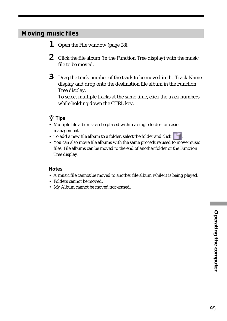# **Moving music files**

- **1** Open the File window (page 28).
- **2** Click the file album (in the Function Tree display) with the music file to be moved.
- **3** Drag the track number of the track to be moved in the Track Name display and drop onto the destination file album in the Function Tree display.

To select multiple tracks at the same time, click the track numbers while holding down the CTRL key.

## z **Tips**

- Multiple file albums can be placed within a single folder for easier management.
- To add a new file album to a folder, select the folder and click
- You can also move file albums with the same procedure used to move music files. File albums can be moved to the end of another folder or the Function Tree display.

### **Notes**

- A music file cannot be moved to another file album while it is being played.
- Folders cannot be moved.
- My Album cannot be moved nor erased.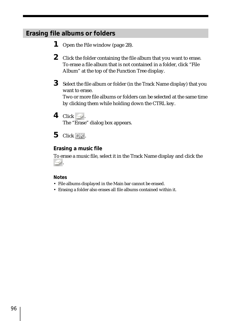# **Erasing file albums or folders**

- **1** Open the File window (page 28).
- **2** Click the folder containing the file album that you want to erase. To erase a file album that is not contained in a folder, click "File Album" at the top of the Function Tree display.
- **3** Select the file album or folder (in the Track Name display) that you want to erase. Two or more file albums or folders can be selected at the same time by clicking them while holding down the CTRL key.
- 4 Click  $\equiv$ The "Erase" dialog box appears.
- **5** Click OK.

## **Erasing a music file**

To erase a music file, select it in the Track Name display and click the .

## **Notes**

- File albums displayed in the Main bar cannot be erased.
- Erasing a folder also erases all file albums contained within it.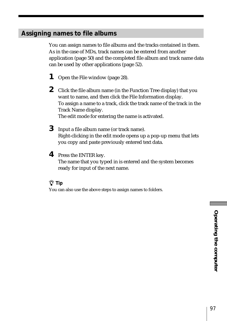## **Assigning names to file albums**

You can assign names to file albums and the tracks contained in them. As in the case of MDs, track names can be entered from another application (page 50) and the completed file album and track name data can be used by other applications (page 52).

- **1** Open the File window (page 28).
- **2** Click the file album name (in the Function Tree display) that you want to name, and then click the File Information display. To assign a name to a track, click the track name of the track in the Track Name display. The edit mode for entering the name is activated.
- **3** Input a file album name (or track name). Right-clicking in the edit mode opens up a pop-up menu that lets you copy and paste previously entered text data.
- **4** Press the ENTER key. The name that you typed in is entered and the system becomes ready for input of the next name.

## z **Tip**

You can also use the above steps to assign names to folders.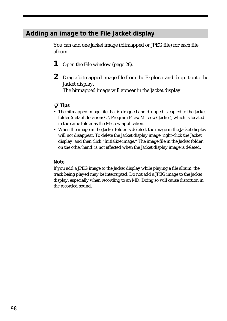## **Adding an image to the File Jacket display**

You can add one jacket image (bitmapped or JPEG file) for each file album.

- **1** Open the File window (page 28).
- **2** Drag a bitmapped image file from the Explorer and drop it onto the Jacket display.

The bitmapped image will appear in the Jacket display.

## z **Tips**

- The bitmapped image file that is dragged and dropped is copied to the Jacket folder (default location: C:\Program Files\M\_crew\Jacket), which is located in the same folder as the M-crew application.
- When the image in the Jacket folder is deleted, the image in the Jacket display will not disappear. To delete the Jacket display image, right-click the Jacket display, and then click "Initialize image." The image file in the Jacket folder, on the other hand, is not affected when the Jacket display image is deleted.

### **Note**

If you add a JPEG image to the Jacket display while playing a file album, the track being played may be interrupted. Do not add a JPEG image to the jacket display, especially when recording to an MD. Doing so will cause distortion in the recorded sound.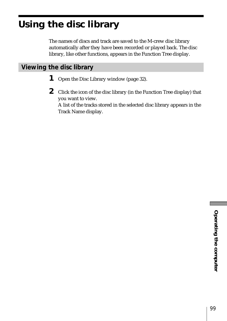# **Using the disc library**

The names of discs and track are saved to the M-crew disc library automatically after they have been recorded or played back. The disc library, like other functions, appears in the Function Tree display.

# **Viewing the disc library**

- **1** Open the Disc Library window (page 32).
- **2** Click the icon of the disc library (in the Function Tree display) that you want to view. A list of the tracks stored in the selected disc library appears in the Track Name display.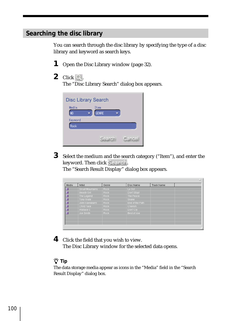# **Searching the disc library**

You can search through the disc library by specifying the type of a disc library and keyword as search keys.

- **1** Open the Disc Library window (page 32).
- $2$  Click  $Q$ .

The "Disc Library Search" dialog box appears.

| <b>Disc Library Search</b> |                      |        |  |  |  |
|----------------------------|----------------------|--------|--|--|--|
| Media<br><b>MD</b>         | Item<br><b>GENRE</b> |        |  |  |  |
| Keyword<br>Rock            |                      |        |  |  |  |
|                            | <b>Search</b>        | Cancel |  |  |  |
|                            |                      |        |  |  |  |

**3** Select the medium and the search category ("Item"), and enter the keyword. Then click Search.

The "Search Result Display" dialog box appears.

| Media | Artist          | Genre       | Disc Name       | Track Name |  |
|-------|-----------------|-------------|-----------------|------------|--|
|       | Small Mountains | Rock.       | Le Go!          |            |  |
|       | Beasty Girl     | Rock.       | Don't Stop!     |            |  |
|       | The Legend      | Rock.       | The Peace       |            |  |
|       | Tony Grate      | <b>Rock</b> | Snake           |            |  |
|       | John Kawakami   | <b>Rock</b> | End of the Path |            |  |
|       | Child Face      | Rock:       | Cherish         |            |  |
|       | Wallace C       | <b>Rock</b> | Don't Cry       |            |  |
|       | Joe Smith       | <b>Rock</b> | Best of Joe     |            |  |
|       |                 |             |                 |            |  |
|       |                 |             |                 |            |  |
|       |                 |             |                 |            |  |

**4** Click the field that you wish to view. The Disc Library window for the selected data opens.

## z **Tip**

The data storage media appear as icons in the "Media" field in the "Search Result Display" dialog box.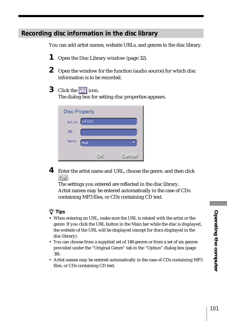## **Recording disc information in the disc library**

You can add artist names, website URLs, and genres to the disc library.

- **1** Open the Disc Library window (page 32).
- **2** Open the window for the function (audio source) for which disc information is to be recorded.
- **3** Click the  $\boxed{1}$  icon.

The dialog box for setting disc properties appears.

| <b>Disc Property</b> |                |  |        |  |  |
|----------------------|----------------|--|--------|--|--|
| Artist               | <b>Artist1</b> |  |        |  |  |
| <b>URL</b>           |                |  |        |  |  |
| Genre                | Rock           |  |        |  |  |
|                      |                |  | Cancel |  |  |

**4** Enter the artist name and URL, choose the genre, and then click OK.

The settings you entered are reflected in the disc library. Artist names may be entered automatically in the case of CDs containing MP3 files, or CDs containing CD text.

## z **Tips**

- When entering an URL, make sure the URL is related with the artist or the genre. If you click the URL button in the Main bar while the disc is displayed, the website of the URL will be displayed (except for discs displayed in the disc library).
- You can choose from a supplied set of 148 genres or from a set of six genres provided under the "Original Genre" tab in the "Option" dialog box (page 38).
- Artist names may be entered automatically in the case of CDs containing MP3 files, or CDs containing CD text.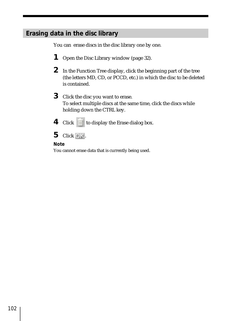# **Erasing data in the disc library**

You can erase discs in the disc library one by one.

- **1** Open the Disc Library window (page 32).
- **2** In the Function Tree display, click the beginning part of the tree (the letters MD, CD, or PCCD, etc.) in which the disc to be deleted is contained.
- **3** Click the disc you want to erase. To select multiple discs at the same time, click the discs while holding down the CTRL key.
- **4** Click  $\overline{m}$  to display the Erase dialog box.
- $5$  Click  $OK$ .

### **Note**

You cannot erase data that is currently being used.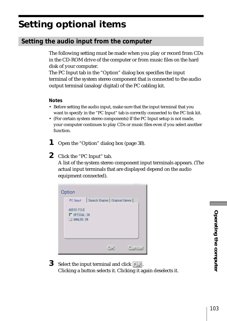# **Setting optional items**

# **Setting the audio input from the computer**

The following setting must be made when you play or record from CDs in the CD-ROM drive of the computer or from music files on the hard disk of your computer.

The PC Input tab in the "Option" dialog box specifies the input terminal of the system stereo component that is connected to the audio output terminal (analog/digital) of the PC cabling kit.

### **Notes**

- Before setting the audio input, make sure that the input terminal that you want to specify in the "PC Input" tab is correctly connected to the PC link kit.
- (For certain system stereo components) If the PC Input setup is not made, your computer continues to play CDs or music files even if you select another function.
- **1** Open the "Option" dialog box (page 38).
- **2** Click the "PC Input" tab.

A list of the system stereo component input terminals appears. (The actual input terminals that are displayed depend on the audio equipment connected).



**3** Select the input terminal and click  $\Box$  K. Clicking a button selects it. Clicking it again deselects it.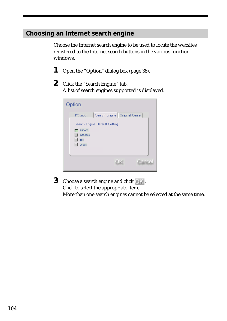# **Choosing an Internet search engine**

Choose the Internet search engine to be used to locate the websites registered to the Internet search buttons in the various function windows.

- **1** Open the "Option" dialog box (page 38).
- **2** Click the "Search Engine" tab. A list of search engines supported is displayed.



**3** Choose a search engine and click OK. Click to select the appropriate item. More than one search engines cannot be selected at the same time.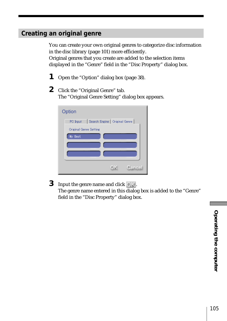# **Creating an original genre**

You can create your own original genres to categorize disc information in the disc library (page 101) more efficiently. Original genres that you create are added to the selection items displayed in the "Genre" field in the "Disc Property" dialog box.

- **1** Open the "Option" dialog box (page 38).
- **2** Click the "Original Genre" tab. The "Original Genre Setting" dialog box appears.

| Option                                     |
|--------------------------------------------|
| Search Engine   Original Genre<br>PC Input |
| Original Genre Setting                     |
| My Best                                    |
|                                            |
|                                            |
|                                            |
| Cancel<br>O) i                             |

**3** Input the genre name and click OK. The genre name entered in this dialog box is added to the "Genre" field in the "Disc Property" dialog box.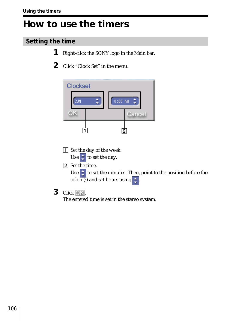# **How to use the timers**

# **Setting the time**

- **1** Right-click the SONY logo in the Main bar.
- **2** Click "Clock Set" in the menu.



- 1 Set the day of the week. Use  $\frac{1}{2}$  to set the day.
- 2 Set the time.

Use  $\div$  to set the minutes. Then, point to the position before the colon (:) and set hours using  $\frac{1}{2}$ 

**3** Click OK.

The entered time is set in the stereo system.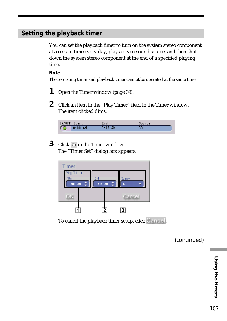## **Setting the playback timer**

You can set the playback timer to turn on the system stereo component at a certain time every day, play a given sound source, and then shut down the system stereo component at the end of a specified playing time.

#### **Note**

The recording timer and playback timer cannot be operated at the same time.

- **1** Open the Timer window (page 39).
- **2** Click an item in the "Play Timer" field in the Timer window. The item clicked dims.

| ON/OFF Start |           | End       | Source |
|--------------|-----------|-----------|--------|
|              | $0:00$ AM | $0:15$ AM |        |

**3** Click  $\bigcirc$  in the Timer window. The "Timer Set" dialog box appears.

| <b>Timer</b>        |           |                |              |  |
|---------------------|-----------|----------------|--------------|--|
| Play Timer<br>Start | End       |                |              |  |
| $0:00$ AM           | $0:15$ AM | ÷              | Source<br>CD |  |
|                     |           |                |              |  |
|                     |           |                | Cancel       |  |
|                     |           | $\overline{2}$ | 2            |  |
|                     |           |                |              |  |

To cancel the playback timer setup, click Cancel.

(continued)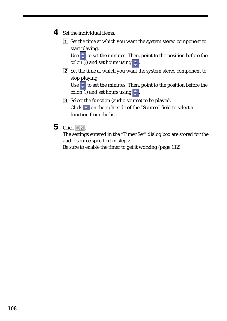- **4** Set the individual items.
	- 1 Set the time at which you want the system stereo component to start playing.

Use  $\epsilon$  to set the minutes. Then, point to the position before the colon (:) and set hours using  $\pm$ 

2 Set the time at which you want the system stereo component to stop playing.

Use  $\begin{array}{|c|c|c|}\hline \text{\color{red}{\bullet}}& \text{to set the minutes. Then, point to the position before the}\hline \end{array}$ colon (:) and set hours using  $\div$ 

- 3 Select the function (audio source) to be played. Click  $\bullet$  on the right side of the "Source" field to select a function from the list.
- **5** Click OK.

The settings entered in the "Timer Set" dialog box are stored for the audio source specified in step 2.

Be sure to enable the timer to get it working (page 112).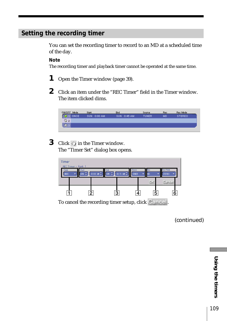# **Setting the recording timer**

You can set the recording timer to record to an MD at a scheduled time of the day.

#### **Note**

The recording timer and playback timer cannot be operated at the same time.

- **1** Open the Timer window (page 39).
- **2** Click an item under the "REC Timer" field in the Timer window. The item clicked dims.

| ON/OFF Mode |             | Start |             | End |             | Source       | Rec | Rec Mode      |
|-------------|-------------|-------|-------------|-----|-------------|--------------|-----|---------------|
|             | <b>ONCE</b> |       | SUN 0:00 AM |     | SUN 0:45 AM | <b>TUNER</b> | MD  | <b>STEREO</b> |
| J 2         |             |       |             |     |             |              |     |               |
|             |             |       |             |     |             |              |     |               |
|             |             |       |             |     |             |              |     |               |

**3** Click  $\Diamond$  in the Timer window. The "Timer Set" dialog box opens.



(continued)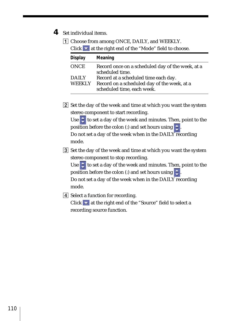- **4** Set individual items.
	- 1 Choose from among ONCE, DAILY, and WEEKLY.  $Click \cdot \cdot \cdot$  at the right end of the "Mode" field to choose.

| <b>Display</b>         | Meaning                                                                                                           |
|------------------------|-------------------------------------------------------------------------------------------------------------------|
| <b>ONCE</b>            | Record once on a scheduled day of the week, at a<br>scheduled time.                                               |
| DAILY<br><b>WEEKLY</b> | Record at a scheduled time each day.<br>Record on a scheduled day of the week, at a<br>scheduled time, each week. |

2 Set the day of the week and time at which you want the system stereo component to start recording.

Use  $\div$  to set a day of the week and minutes. Then, point to the position before the colon (:) and set hours using  $\uparrow$ Do not set a day of the week when in the DAILY recording mode.

3 Set the day of the week and time at which you want the system stereo component to stop recording.

Use  $\frac{1}{x}$  to set a day of the week and minutes. Then, point to the position before the colon (:) and set hours using  $\div$ Do not set a day of the week when in the  $DAILY$  recording mode.

4 Select a function for recording. Click  $\blacktriangleright$  at the right end of the "Source" field to select a recording source function.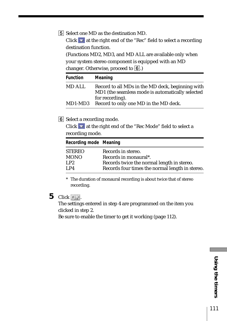5 Select one MD as the destination MD. Click  $\bullet$  at the right end of the "Rec" field to select a recording destination function. (Functions MD2, MD3, and MD ALL are available only when your system stereo component is equipped with an MD

changer. Otherwise, proceed to  $\boxed{6}$ .)

| Function | Meaning                                                                                                                 |
|----------|-------------------------------------------------------------------------------------------------------------------------|
| MD ALL   | Record to all MDs in the MD deck, beginning with<br>MD1 (the seamless mode is automatically selected<br>for recording). |
| MD1-MD3  | Record to only one MD in the MD deck.                                                                                   |

6 Select a recording mode.

Click  $\bullet$  at the right end of the "Rec Mode" field to select a recording mode.

| Recording mode Meaning |                                                 |
|------------------------|-------------------------------------------------|
| <b>STEREO</b>          | Records in stereo.                              |
| <b>MONO</b>            | Records in monaural*.                           |
| LP2                    | Records twice the normal length in stereo.      |
| I.P4                   | Records four times the normal length in stereo. |

\* The duration of monaural recording is about twice that of stereo recording.

# **5** Click OK.

The settings entered in step 4 are programmed on the item you clicked in step 2.

Be sure to enable the timer to get it working (page 112).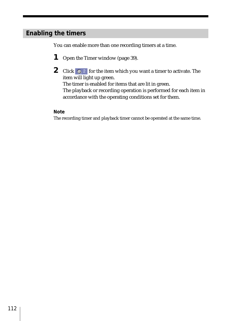## **Enabling the timers**

You can enable more than one recording timers at a time.

- **1** Open the Timer window (page 39).
- **2** Click  $\bigcirc$  2 for the item which you want a timer to activate. The item will light up green. The timer is enabled for items that are lit in green. The playback or recording operation is performed for each item in

accordance with the operating conditions set for them.

### **Note**

The recording timer and playback timer cannot be operated at the same time.